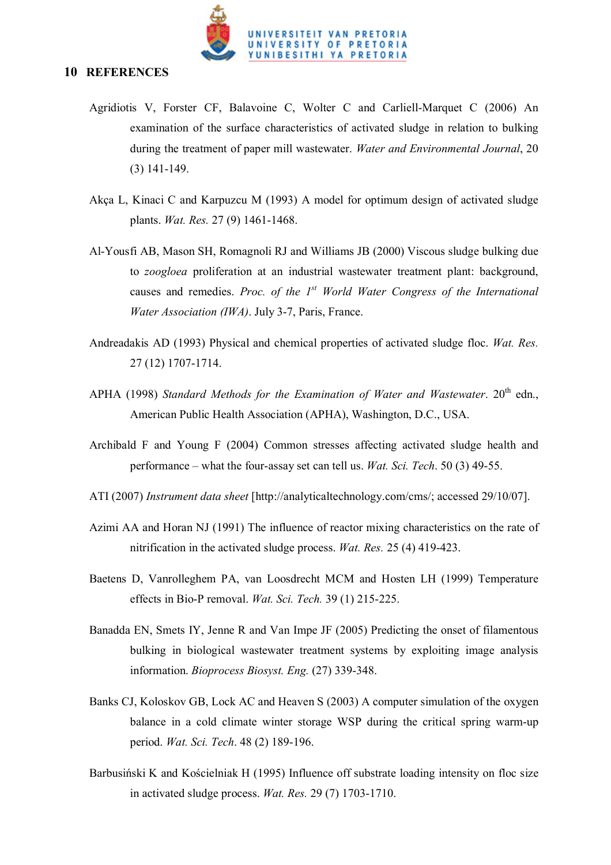

#### **10 REFERENCES**

- Agridiotis V, Forster CF, Balavoine C, Wolter C and Carliell-Marquet C (2006) An examination of the surface characteristics of activated sludge in relation to bulking during the treatment of paper mill wastewater. *Water and Environmental Journal*, 20 (3) 141-149.
- Akça L, Kinaci C and Karpuzcu M (1993) A model for optimum design of activated sludge plants. *Wat. Res.* 27 (9) 1461-1468.
- Al-Yousfi AB, Mason SH, Romagnoli RJ and Williams JB (2000) Viscous sludge bulking due to *zoogloea* proliferation at an industrial wastewater treatment plant: background, causes and remedies. *Proc. of the 1st World Water Congress of the International Water Association (IWA)*. July 3-7, Paris, France.
- Andreadakis AD (1993) Physical and chemical properties of activated sludge floc. *Wat. Res.* 27 (12) 1707-1714.
- APHA (1998) *Standard Methods for the Examination of Water and Wastewater*. 20<sup>th</sup> edn., American Public Health Association (APHA), Washington, D.C., USA.
- Archibald F and Young F (2004) Common stresses affecting activated sludge health and performance – what the four-assay set can tell us. *Wat. Sci. Tech*. 50 (3) 49-55.
- ATI (2007) *Instrument data sheet* [http://analyticaltechnology.com/cms/; accessed 29/10/07].
- Azimi AA and Horan NJ (1991) The influence of reactor mixing characteristics on the rate of nitrification in the activated sludge process. *Wat. Res.* 25 (4) 419-423.
- Baetens D, Vanrolleghem PA, van Loosdrecht MCM and Hosten LH (1999) Temperature effects in Bio-P removal. *Wat. Sci. Tech.* 39 (1) 215-225.
- Banadda EN, Smets IY, Jenne R and Van Impe JF (2005) Predicting the onset of filamentous bulking in biological wastewater treatment systems by exploiting image analysis information. *Bioprocess Biosyst. Eng.* (27) 339-348.
- Banks CJ, Koloskov GB, Lock AC and Heaven S (2003) A computer simulation of the oxygen balance in a cold climate winter storage WSP during the critical spring warm-up period. *Wat. Sci. Tech*. 48 (2) 189-196.
- Barbusiński K and Kościelniak H (1995) Influence off substrate loading intensity on floc size in activated sludge process. *Wat. Res.* 29 (7) 1703-1710.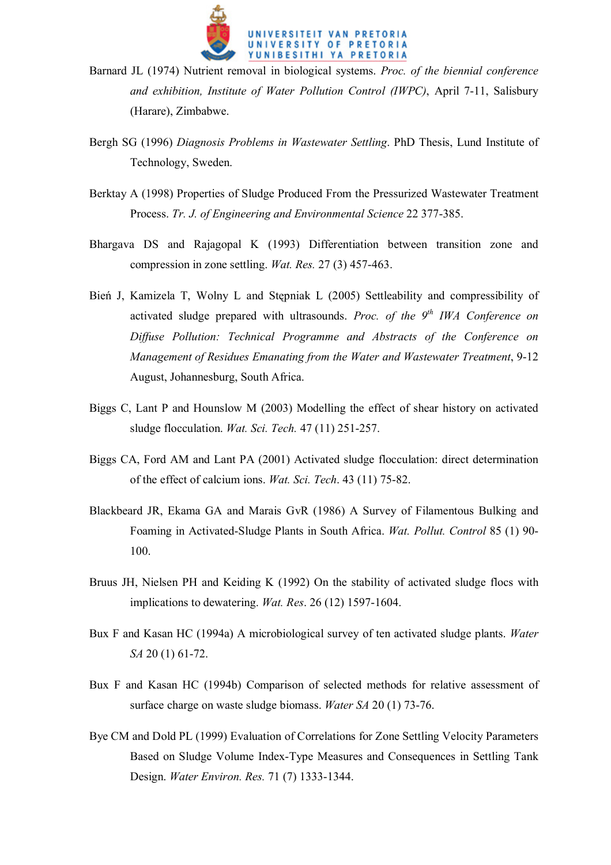

- Barnard JL (1974) Nutrient removal in biological systems. *Proc. of the biennial conference and exhibition, Institute of Water Pollution Control (IWPC)*, April 7-11, Salisbury (Harare), Zimbabwe.
- Bergh SG (1996) *Diagnosis Problems in Wastewater Settling*. PhD Thesis, Lund Institute of Technology, Sweden.
- Berktay A (1998) Properties of Sludge Produced From the Pressurized Wastewater Treatment Process. *Tr. J. of Engineering and Environmental Science* 22 377-385.
- Bhargava DS and Rajagopal K (1993) Differentiation between transition zone and compression in zone settling. *Wat. Res.* 27 (3) 457-463.
- Bień J, Kamizela T, Wolny L and Stępniak L (2005) Settleability and compressibility of activated sludge prepared with ultrasounds. *Proc. of the 9<sup>th</sup> IWA Conference on Diffuse Pollution: Technical Programme and Abstracts of the Conference on Management of Residues Emanating from the Water and Wastewater Treatment*, 9-12 August, Johannesburg, South Africa.
- Biggs C, Lant P and Hounslow M (2003) Modelling the effect of shear history on activated sludge flocculation. *Wat. Sci. Tech.* 47 (11) 251-257.
- Biggs CA, Ford AM and Lant PA (2001) Activated sludge flocculation: direct determination of the effect of calcium ions. *Wat. Sci. Tech*. 43 (11) 75-82.
- Blackbeard JR, Ekama GA and Marais GvR (1986) A Survey of Filamentous Bulking and Foaming in Activated-Sludge Plants in South Africa. *Wat. Pollut. Control* 85 (1) 90- 100.
- Bruus JH, Nielsen PH and Keiding K (1992) On the stability of activated sludge flocs with implications to dewatering. *Wat. Res*. 26 (12) 1597-1604.
- Bux F and Kasan HC (1994a) A microbiological survey of ten activated sludge plants. *Water SA* 20 (1) 61-72.
- Bux F and Kasan HC (1994b) Comparison of selected methods for relative assessment of surface charge on waste sludge biomass. *Water SA* 20 (1) 73-76.
- Bye CM and Dold PL (1999) Evaluation of Correlations for Zone Settling Velocity Parameters Based on Sludge Volume Index-Type Measures and Consequences in Settling Tank Design. *Water Environ. Res.* 71 (7) 1333-1344.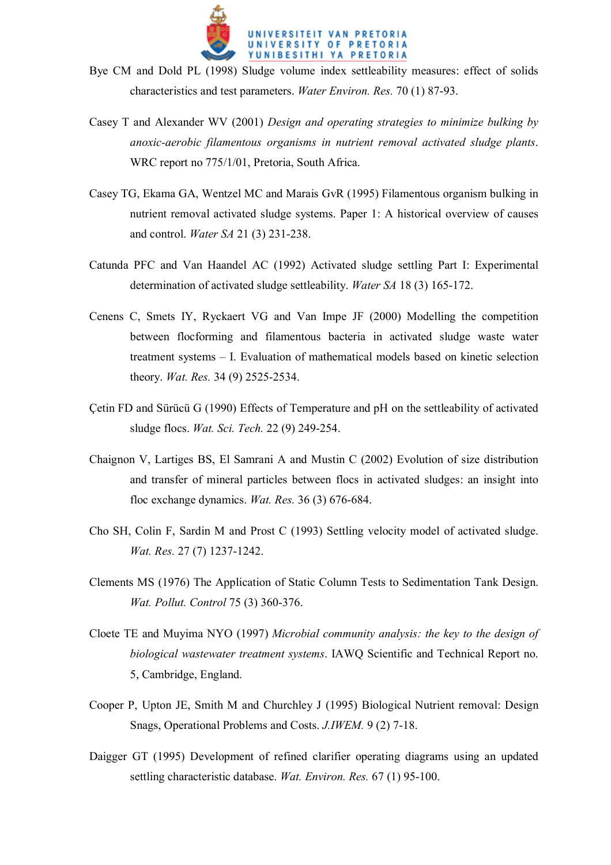

- Bye CM and Dold PL (1998) Sludge volume index settleability measures: effect of solids characteristics and test parameters. *Water Environ. Res.* 70 (1) 87-93.
- Casey T and Alexander WV (2001) *Design and operating strategies to minimize bulking by anoxic-aerobic filamentous organisms in nutrient removal activated sludge plants*. WRC report no 775/1/01, Pretoria, South Africa.
- Casey TG, Ekama GA, Wentzel MC and Marais GvR (1995) Filamentous organism bulking in nutrient removal activated sludge systems. Paper 1: A historical overview of causes and control. *Water SA* 21 (3) 231-238.
- Catunda PFC and Van Haandel AC (1992) Activated sludge settling Part I: Experimental determination of activated sludge settleability. *Water SA* 18 (3) 165-172.
- Cenens C, Smets IY, Ryckaert VG and Van Impe JF (2000) Modelling the competition between flocforming and filamentous bacteria in activated sludge waste water treatment systems – I. Evaluation of mathematical models based on kinetic selection theory. *Wat. Res.* 34 (9) 2525-2534.
- Çetin FD and Sürücü G (1990) Effects of Temperature and pH on the settleability of activated sludge flocs. *Wat. Sci. Tech.* 22 (9) 249-254.
- Chaignon V, Lartiges BS, El Samrani A and Mustin C (2002) Evolution of size distribution and transfer of mineral particles between flocs in activated sludges: an insight into floc exchange dynamics. *Wat. Res.* 36 (3) 676-684.
- Cho SH, Colin F, Sardin M and Prost C (1993) Settling velocity model of activated sludge. *Wat. Res.* 27 (7) 1237-1242.
- Clements MS (1976) The Application of Static Column Tests to Sedimentation Tank Design. *Wat. Pollut. Control* 75 (3) 360-376.
- Cloete TE and Muyima NYO (1997) *Microbial community analysis: the key to the design of biological wastewater treatment systems*. IAWQ Scientific and Technical Report no. 5, Cambridge, England.
- Cooper P, Upton JE, Smith M and Churchley J (1995) Biological Nutrient removal: Design Snags, Operational Problems and Costs. *J.IWEM.* 9 (2) 7-18.
- Daigger GT (1995) Development of refined clarifier operating diagrams using an updated settling characteristic database. *Wat. Environ. Res.* 67 (1) 95-100.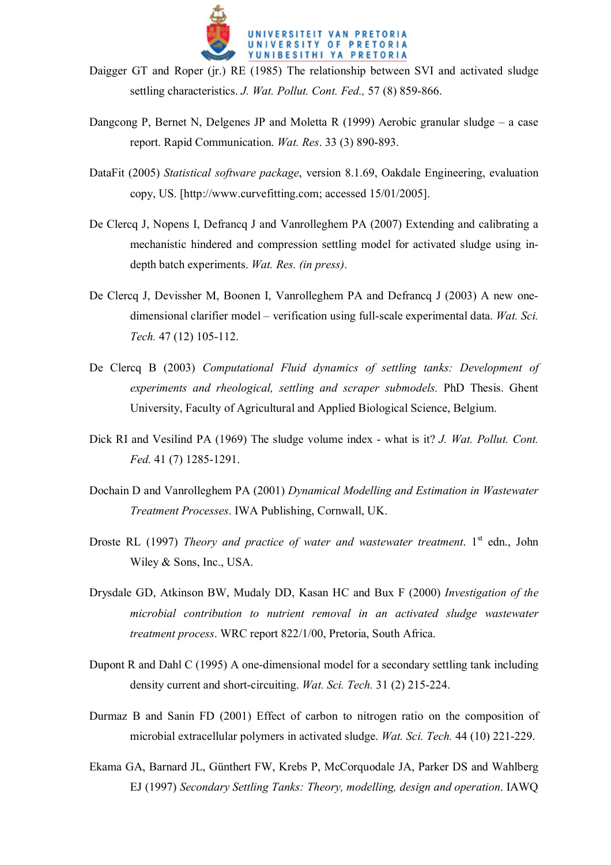

- Daigger GT and Roper (jr.) RE (1985) The relationship between SVI and activated sludge settling characteristics. *J. Wat. Pollut. Cont. Fed.,* 57 (8) 859-866.
- Dangcong P, Bernet N, Delgenes JP and Moletta R (1999) Aerobic granular sludge a case report. Rapid Communication. *Wat. Res*. 33 (3) 890-893.
- DataFit (2005) *Statistical software package*, version 8.1.69, Oakdale Engineering, evaluation copy, US. [http://www.curvefitting.com; accessed 15/01/2005].
- De Clercq J, Nopens I, Defrancq J and Vanrolleghem PA (2007) Extending and calibrating a mechanistic hindered and compression settling model for activated sludge using indepth batch experiments. *Wat. Res. (in press)*.
- De Clercq J, Devissher M, Boonen I, Vanrolleghem PA and Defrancq J (2003) A new onedimensional clarifier model – verification using full-scale experimental data. *Wat. Sci. Tech.* 47 (12) 105-112.
- De Clercq B (2003) *Computational Fluid dynamics of settling tanks: Development of experiments and rheological, settling and scraper submodels.* PhD Thesis. Ghent University, Faculty of Agricultural and Applied Biological Science, Belgium.
- Dick RI and Vesilind PA (1969) The sludge volume index what is it? *J. Wat. Pollut. Cont. Fed.* 41 (7) 1285-1291.
- Dochain D and Vanrolleghem PA (2001) *Dynamical Modelling and Estimation in Wastewater Treatment Processes*. IWA Publishing, Cornwall, UK.
- Droste RL (1997) *Theory and practice of water and wastewater treatment*. 1<sup>st</sup> edn., John Wiley & Sons, Inc., USA.
- Drysdale GD, Atkinson BW, Mudaly DD, Kasan HC and Bux F (2000) *Investigation of the microbial contribution to nutrient removal in an activated sludge wastewater treatment process*. WRC report 822/1/00, Pretoria, South Africa.
- Dupont R and Dahl C (1995) A one-dimensional model for a secondary settling tank including density current and short-circuiting. *Wat. Sci. Tech.* 31 (2) 215-224.
- Durmaz B and Sanin FD (2001) Effect of carbon to nitrogen ratio on the composition of microbial extracellular polymers in activated sludge. *Wat. Sci. Tech.* 44 (10) 221-229.
- Ekama GA, Barnard JL, Günthert FW, Krebs P, McCorquodale JA, Parker DS and Wahlberg EJ (1997) *Secondary Settling Tanks: Theory, modelling, design and operation*. IAWQ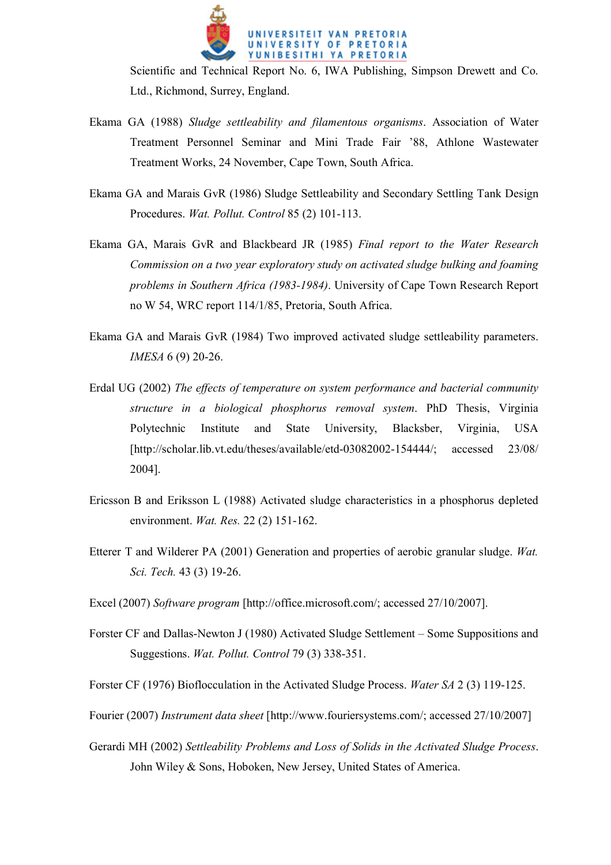

Scientific and Technical Report No. 6, IWA Publishing, Simpson Drewett and Co. Ltd., Richmond, Surrey, England.

- Ekama GA (1988) *Sludge settleability and filamentous organisms*. Association of Water Treatment Personnel Seminar and Mini Trade Fair '88, Athlone Wastewater Treatment Works, 24 November, Cape Town, South Africa.
- Ekama GA and Marais GvR (1986) Sludge Settleability and Secondary Settling Tank Design Procedures. *Wat. Pollut. Control* 85 (2) 101-113.
- Ekama GA, Marais GvR and Blackbeard JR (1985) *Final report to the Water Research Commission on a two year exploratory study on activated sludge bulking and foaming problems in Southern Africa (1983-1984)*. University of Cape Town Research Report no W 54, WRC report 114/1/85, Pretoria, South Africa.
- Ekama GA and Marais GvR (1984) Two improved activated sludge settleability parameters. *IMESA* 6 (9) 20-26.
- Erdal UG (2002) *The effects of temperature on system performance and bacterial community structure in a biological phosphorus removal system*. PhD Thesis, Virginia Polytechnic Institute and State University, Blacksber, Virginia, USA [http://scholar.lib.vt.edu/theses/available/etd-03082002-154444/; accessed 23/08/ 2004].
- Ericsson B and Eriksson L (1988) Activated sludge characteristics in a phosphorus depleted environment. *Wat. Res.* 22 (2) 151-162.
- Etterer T and Wilderer PA (2001) Generation and properties of aerobic granular sludge. *Wat. Sci. Tech.* 43 (3) 19-26.
- Excel (2007) *Software program* [http://office.microsoft.com/; accessed 27/10/2007].
- Forster CF and Dallas-Newton J (1980) Activated Sludge Settlement Some Suppositions and Suggestions. *Wat. Pollut. Control* 79 (3) 338-351.
- Forster CF (1976) Bioflocculation in the Activated Sludge Process. *Water SA* 2 (3) 119-125.
- Fourier (2007) *Instrument data sheet* [http://www.fouriersystems.com/; accessed 27/10/2007]
- Gerardi MH (2002) *Settleability Problems and Loss of Solids in the Activated Sludge Process*. John Wiley & Sons, Hoboken, New Jersey, United States of America.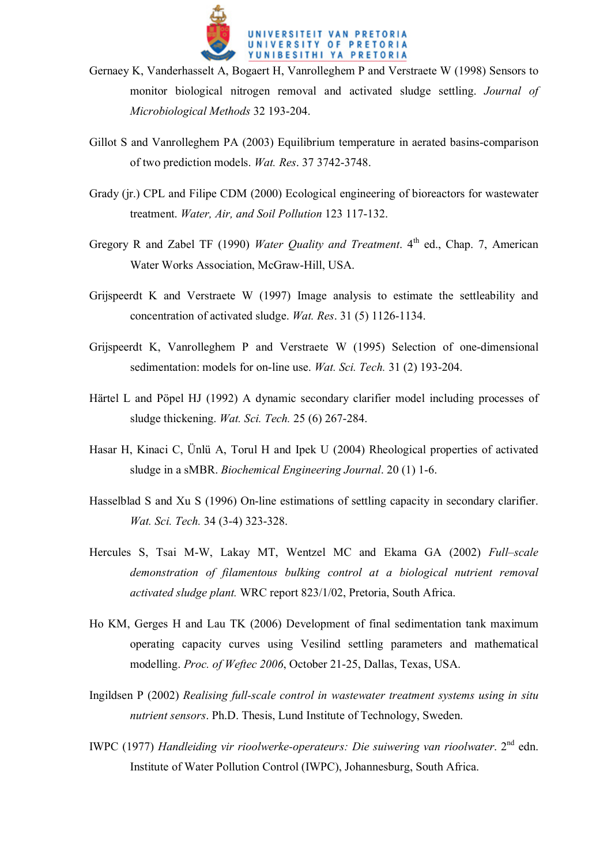

- Gernaey K, Vanderhasselt A, Bogaert H, Vanrolleghem P and Verstraete W (1998) Sensors to monitor biological nitrogen removal and activated sludge settling. *Journal of Microbiological Methods* 32 193-204.
- Gillot S and Vanrolleghem PA (2003) Equilibrium temperature in aerated basins-comparison of two prediction models. *Wat. Res*. 37 3742-3748.
- Grady (ir.) CPL and Filipe CDM (2000) Ecological engineering of bioreactors for wastewater treatment. *Water, Air, and Soil Pollution* 123 117-132.
- Gregory R and Zabel TF (1990) Water Quality and Treatment. 4<sup>th</sup> ed., Chap. 7, American Water Works Association, McGraw-Hill, USA.
- Grijspeerdt K and Verstraete W (1997) Image analysis to estimate the settleability and concentration of activated sludge. *Wat. Res*. 31 (5) 1126-1134.
- Grijspeerdt K, Vanrolleghem P and Verstraete W (1995) Selection of one-dimensional sedimentation: models for on-line use. *Wat. Sci. Tech.* 31 (2) 193-204.
- Härtel L and Pöpel HJ (1992) A dynamic secondary clarifier model including processes of sludge thickening. *Wat. Sci. Tech.* 25 (6) 267-284.
- Hasar H, Kinaci C, Ünlü A, Torul H and Ipek U (2004) Rheological properties of activated sludge in a sMBR. *Biochemical Engineering Journal*. 20 (1) 1-6.
- Hasselblad S and Xu S (1996) On-line estimations of settling capacity in secondary clarifier. *Wat. Sci. Tech.* 34 (3-4) 323-328.
- Hercules S, Tsai M-W, Lakay MT, Wentzel MC and Ekama GA (2002) *Full–scale demonstration of filamentous bulking control at a biological nutrient removal activated sludge plant.* WRC report 823/1/02, Pretoria, South Africa.
- Ho KM, Gerges H and Lau TK (2006) Development of final sedimentation tank maximum operating capacity curves using Vesilind settling parameters and mathematical modelling. *Proc. of Weftec 2006*, October 21-25, Dallas, Texas, USA.
- Ingildsen P (2002) *Realising full-scale control in wastewater treatment systems using in situ nutrient sensors*. Ph.D. Thesis, Lund Institute of Technology, Sweden.
- IWPC (1977) *Handleiding vir rioolwerke-operateurs: Die suiwering van rioolwater*. 2<sup>nd</sup> edn. Institute of Water Pollution Control (IWPC), Johannesburg, South Africa.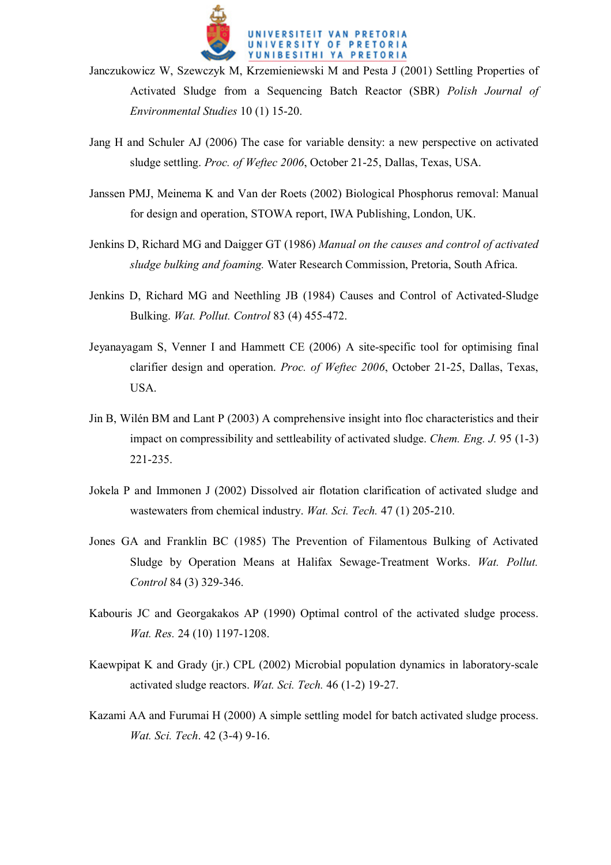

- Janczukowicz W, Szewczyk M, Krzemieniewski M and Pesta J (2001) Settling Properties of Activated Sludge from a Sequencing Batch Reactor (SBR) *Polish Journal of Environmental Studies* 10 (1) 15-20.
- Jang H and Schuler AJ (2006) The case for variable density: a new perspective on activated sludge settling. *Proc. of Weftec 2006*, October 21-25, Dallas, Texas, USA.
- Janssen PMJ, Meinema K and Van der Roets (2002) Biological Phosphorus removal: Manual for design and operation, STOWA report, IWA Publishing, London, UK.
- Jenkins D, Richard MG and Daigger GT (1986) *Manual on the causes and control of activated sludge bulking and foaming.* Water Research Commission, Pretoria, South Africa.
- Jenkins D, Richard MG and Neethling JB (1984) Causes and Control of Activated-Sludge Bulking. *Wat. Pollut. Control* 83 (4) 455-472.
- Jeyanayagam S, Venner I and Hammett CE (2006) A site-specific tool for optimising final clarifier design and operation. *Proc. of Weftec 2006*, October 21-25, Dallas, Texas, USA.
- Jin B, Wilén BM and Lant P (2003) A comprehensive insight into floc characteristics and their impact on compressibility and settleability of activated sludge. *Chem. Eng. J.* 95 (1-3) 221-235.
- Jokela P and Immonen J (2002) Dissolved air flotation clarification of activated sludge and wastewaters from chemical industry. *Wat. Sci. Tech.* 47 (1) 205-210.
- Jones GA and Franklin BC (1985) The Prevention of Filamentous Bulking of Activated Sludge by Operation Means at Halifax Sewage-Treatment Works. *Wat. Pollut. Control* 84 (3) 329-346.
- Kabouris JC and Georgakakos AP (1990) Optimal control of the activated sludge process. *Wat. Res.* 24 (10) 1197-1208.
- Kaewpipat K and Grady (jr.) CPL (2002) Microbial population dynamics in laboratory-scale activated sludge reactors. *Wat. Sci. Tech.* 46 (1-2) 19-27.
- Kazami AA and Furumai H (2000) A simple settling model for batch activated sludge process. *Wat. Sci. Tech*. 42 (3-4) 9-16.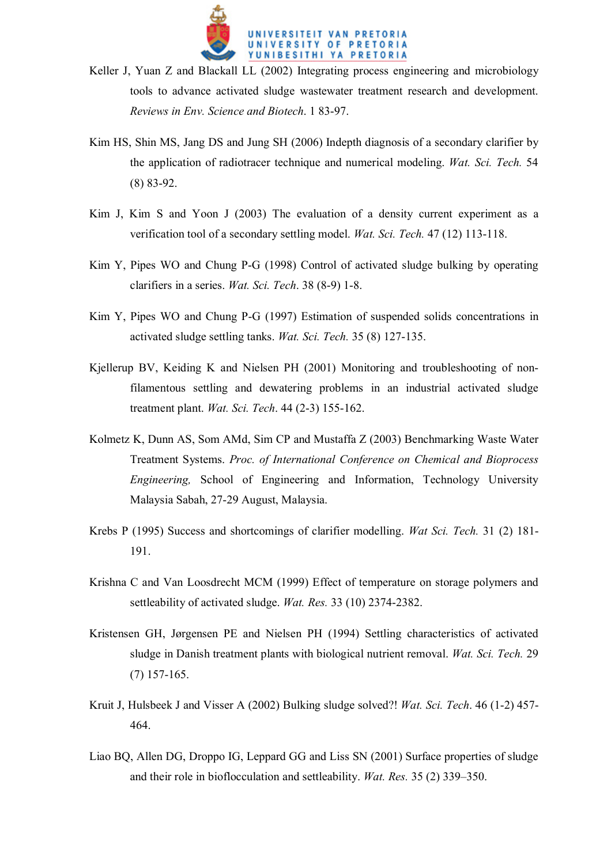

- Keller J, Yuan Z and Blackall LL (2002) Integrating process engineering and microbiology tools to advance activated sludge wastewater treatment research and development. *Reviews in Env. Science and Biotech*. 1 83-97.
- Kim HS, Shin MS, Jang DS and Jung SH (2006) Indepth diagnosis of a secondary clarifier by the application of radiotracer technique and numerical modeling. *Wat. Sci. Tech.* 54 (8) 83-92.
- Kim J, Kim S and Yoon J (2003) The evaluation of a density current experiment as a verification tool of a secondary settling model. *Wat. Sci. Tech.* 47 (12) 113-118.
- Kim Y, Pipes WO and Chung P-G (1998) Control of activated sludge bulking by operating clarifiers in a series. *Wat. Sci. Tech*. 38 (8-9) 1-8.
- Kim Y, Pipes WO and Chung P-G (1997) Estimation of suspended solids concentrations in activated sludge settling tanks. *Wat. Sci. Tech.* 35 (8) 127-135.
- Kiellerup BV, Keiding K and Nielsen PH (2001) Monitoring and troubleshooting of nonfilamentous settling and dewatering problems in an industrial activated sludge treatment plant. *Wat. Sci. Tech*. 44 (2-3) 155-162.
- Kolmetz K, Dunn AS, Som AMd, Sim CP and Mustaffa Z (2003) Benchmarking Waste Water Treatment Systems. *Proc. of International Conference on Chemical and Bioprocess Engineering,* School of Engineering and Information, Technology University Malaysia Sabah, 27-29 August, Malaysia.
- Krebs P (1995) Success and shortcomings of clarifier modelling. *Wat Sci. Tech.* 31 (2) 181- 191.
- Krishna C and Van Loosdrecht MCM (1999) Effect of temperature on storage polymers and settleability of activated sludge. *Wat. Res.* 33 (10) 2374-2382.
- Kristensen GH, Jørgensen PE and Nielsen PH (1994) Settling characteristics of activated sludge in Danish treatment plants with biological nutrient removal. *Wat. Sci. Tech.* 29 (7) 157-165.
- Kruit J, Hulsbeek J and Visser A (2002) Bulking sludge solved?! *Wat. Sci. Tech*. 46 (1-2) 457- 464.
- Liao BQ, Allen DG, Droppo IG, Leppard GG and Liss SN (2001) Surface properties of sludge and their role in bioflocculation and settleability. *Wat. Res.* 35 (2) 339–350.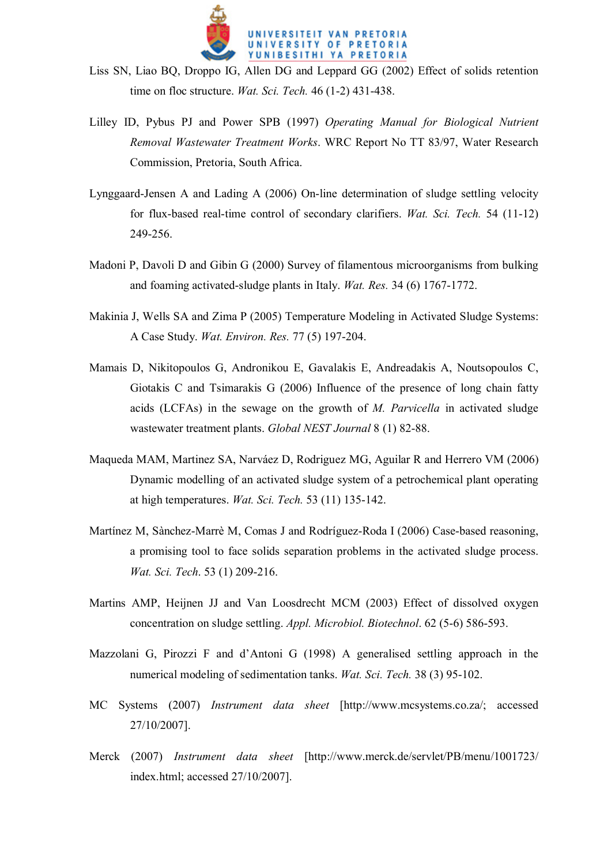

- Liss SN, Liao BQ, Droppo IG, Allen DG and Leppard GG (2002) Effect of solids retention time on floc structure. *Wat. Sci. Tech.* 46 (1-2) 431-438.
- Lilley ID, Pybus PJ and Power SPB (1997) *Operating Manual for Biological Nutrient Removal Wastewater Treatment Works*. WRC Report No TT 83/97, Water Research Commission, Pretoria, South Africa.
- Lynggaard-Jensen A and Lading A (2006) On-line determination of sludge settling velocity for flux-based real-time control of secondary clarifiers. *Wat. Sci. Tech.* 54 (11-12) 249-256.
- Madoni P, Davoli D and Gibin G (2000) Survey of filamentous microorganisms from bulking and foaming activated-sludge plants in Italy. *Wat. Res.* 34 (6) 1767-1772.
- Makinia J, Wells SA and Zima P (2005) Temperature Modeling in Activated Sludge Systems: A Case Study. *Wat. Environ. Res.* 77 (5) 197-204.
- Mamais D, Nikitopoulos G, Andronikou E, Gavalakis E, Andreadakis A, Noutsopoulos C, Giotakis C and Tsimarakis G (2006) Influence of the presence of long chain fatty acids (LCFAs) in the sewage on the growth of *M. Parvicella* in activated sludge wastewater treatment plants. *Global NEST Journal* 8 (1) 82-88.
- Maqueda MAM, Martinez SA, Narváez D, Rodriguez MG, Aguilar R and Herrero VM (2006) Dynamic modelling of an activated sludge system of a petrochemical plant operating at high temperatures. *Wat. Sci. Tech.* 53 (11) 135-142.
- Martínez M, Sànchez-Marrè M, Comas J and Rodríguez-Roda I (2006) Case-based reasoning, a promising tool to face solids separation problems in the activated sludge process. *Wat. Sci. Tech*. 53 (1) 209-216.
- Martins AMP, Heijnen JJ and Van Loosdrecht MCM (2003) Effect of dissolved oxygen concentration on sludge settling. *Appl. Microbiol. Biotechnol*. 62 (5-6) 586-593.
- Mazzolani G, Pirozzi F and d'Antoni G (1998) A generalised settling approach in the numerical modeling of sedimentation tanks. *Wat. Sci. Tech.* 38 (3) 95-102.
- MC Systems (2007) *Instrument data sheet* [http://www.mcsystems.co.za/; accessed 27/10/2007].
- Merck (2007) *Instrument data sheet* [http://www.merck.de/servlet/PB/menu/1001723/ index.html; accessed 27/10/2007].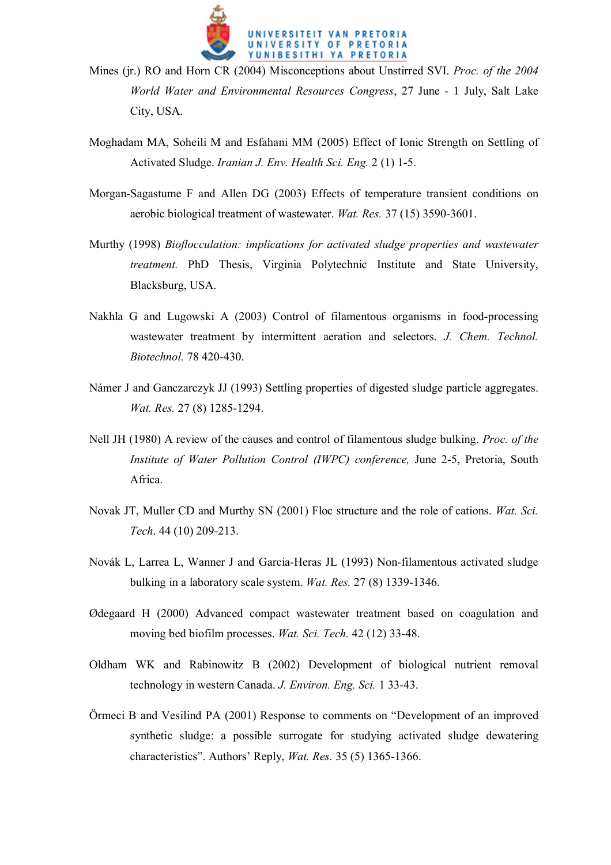

- Mines (jr.) RO and Horn CR (2004) Misconceptions about Unstirred SVI. *Proc. of the 2004 World Water and Environmental Resources Congress*, 27 June - 1 July, Salt Lake City, USA.
- Moghadam MA, Soheili M and Esfahani MM (2005) Effect of Ionic Strength on Settling of Activated Sludge. *Iranian J. Env. Health Sci. Eng.* 2 (1) 1-5.
- Morgan-Sagastume F and Allen DG (2003) Effects of temperature transient conditions on aerobic biological treatment of wastewater. *Wat. Res.* 37 (15) 3590-3601.
- Murthy (1998) *Bioflocculation: implications for activated sludge properties and wastewater treatment.* PhD Thesis, Virginia Polytechnic Institute and State University, Blacksburg, USA.
- Nakhla G and Lugowski A (2003) Control of filamentous organisms in food-processing wastewater treatment by intermittent aeration and selectors. *J. Chem. Technol. Biotechnol.* 78 420-430.
- Námer J and Ganczarczyk JJ (1993) Settling properties of digested sludge particle aggregates. *Wat. Res.* 27 (8) 1285-1294.
- Nell JH (1980) A review of the causes and control of filamentous sludge bulking. *Proc. of the Institute of Water Pollution Control (IWPC) conference,* June 2-5, Pretoria, South Africa.
- Novak JT, Muller CD and Murthy SN (2001) Floc structure and the role of cations. *Wat. Sci. Tech*. 44 (10) 209-213.
- Novák L, Larrea L, Wanner J and Garcia-Heras JL (1993) Non-filamentous activated sludge bulking in a laboratory scale system. *Wat. Res.* 27 (8) 1339-1346.
- Ødegaard H (2000) Advanced compact wastewater treatment based on coagulation and moving bed biofilm processes. *Wat. Sci. Tech.* 42 (12) 33-48.
- Oldham WK and Rabinowitz B (2002) Development of biological nutrient removal technology in western Canada. *J. Environ. Eng. Sci.* 1 33-43.
- Örmeci B and Vesilind PA (2001) Response to comments on "Development of an improved synthetic sludge: a possible surrogate for studying activated sludge dewatering characteristics". Authors' Reply, *Wat. Res.* 35 (5) 1365-1366.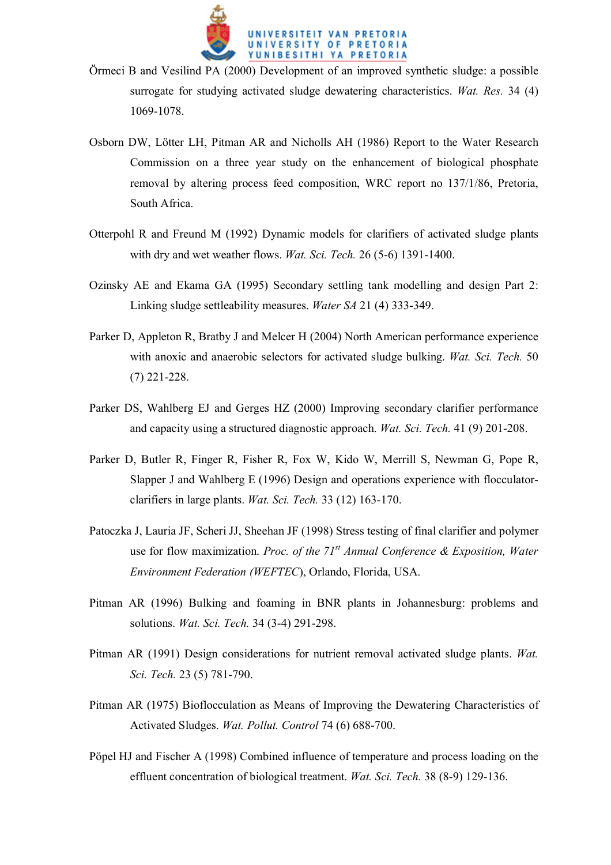

- Örmeci B and Vesilind PA (2000) Development of an improved synthetic sludge: a possible surrogate for studying activated sludge dewatering characteristics. *Wat. Res.* 34 (4) 1069-1078.
- Osborn DW, Lötter LH, Pitman AR and Nicholls AH (1986) Report to the Water Research Commission on a three year study on the enhancement of biological phosphate removal by altering process feed composition, WRC report no 137/1/86, Pretoria, South Africa.
- Otterpohl R and Freund M (1992) Dynamic models for clarifiers of activated sludge plants with dry and wet weather flows. *Wat. Sci. Tech.* 26 (5-6) 1391-1400.
- Ozinsky AE and Ekama GA (1995) Secondary settling tank modelling and design Part 2: Linking sludge settleability measures. *Water SA* 21 (4) 333-349.
- Parker D, Appleton R, Bratby J and Melcer H (2004) North American performance experience with anoxic and anaerobic selectors for activated sludge bulking. *Wat. Sci. Tech.* 50 (7) 221-228.
- Parker DS, Wahlberg EJ and Gerges HZ (2000) Improving secondary clarifier performance and capacity using a structured diagnostic approach. *Wat. Sci. Tech.* 41 (9) 201-208.
- Parker D, Butler R, Finger R, Fisher R, Fox W, Kido W, Merrill S, Newman G, Pope R, Slapper J and Wahlberg E (1996) Design and operations experience with flocculatorclarifiers in large plants. *Wat. Sci. Tech.* 33 (12) 163-170.
- Patoczka J, Lauria JF, Scheri JJ, Sheehan JF (1998) Stress testing of final clarifier and polymer use for flow maximization. *Proc. of the 71st Annual Conference & Exposition, Water Environment Federation (WEFTEC*), Orlando, Florida, USA.
- Pitman AR (1996) Bulking and foaming in BNR plants in Johannesburg: problems and solutions. *Wat. Sci. Tech.* 34 (3-4) 291-298.
- Pitman AR (1991) Design considerations for nutrient removal activated sludge plants. *Wat. Sci. Tech.* 23 (5) 781-790.
- Pitman AR (1975) Bioflocculation as Means of Improving the Dewatering Characteristics of Activated Sludges. *Wat. Pollut. Control* 74 (6) 688-700.
- Pöpel HJ and Fischer A (1998) Combined influence of temperature and process loading on the effluent concentration of biological treatment. *Wat. Sci. Tech.* 38 (8-9) 129-136.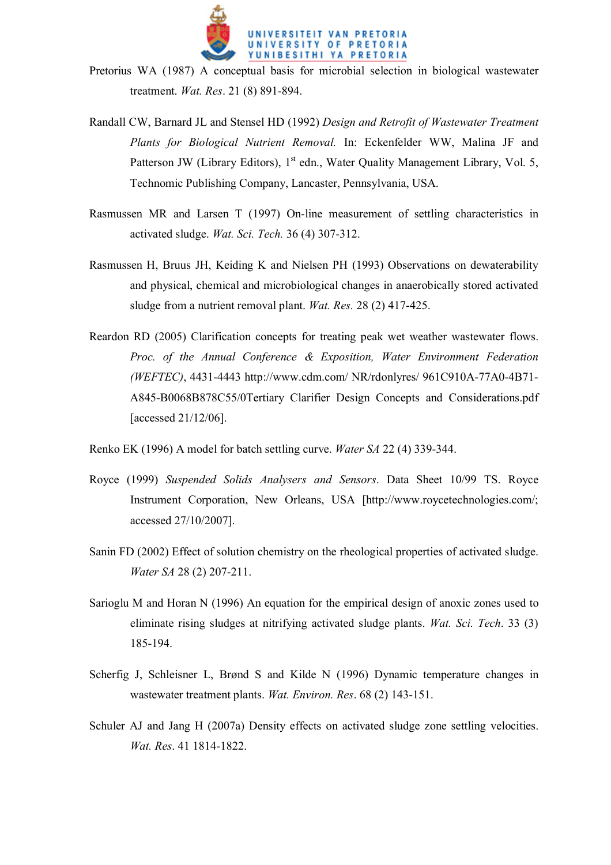

- Pretorius WA (1987) A conceptual basis for microbial selection in biological wastewater treatment. *Wat. Res*. 21 (8) 891-894.
- Randall CW, Barnard JL and Stensel HD (1992) *Design and Retrofit of Wastewater Treatment Plants for Biological Nutrient Removal.* In: Eckenfelder WW, Malina JF and Patterson JW (Library Editors), 1<sup>st</sup> edn., Water Quality Management Library, Vol. 5, Technomic Publishing Company, Lancaster, Pennsylvania, USA.
- Rasmussen MR and Larsen T (1997) On-line measurement of settling characteristics in activated sludge. *Wat. Sci. Tech.* 36 (4) 307-312.
- Rasmussen H, Bruus JH, Keiding K and Nielsen PH (1993) Observations on dewaterability and physical, chemical and microbiological changes in anaerobically stored activated sludge from a nutrient removal plant. *Wat. Res.* 28 (2) 417-425.
- Reardon RD (2005) Clarification concepts for treating peak wet weather wastewater flows. *Proc. of the Annual Conference & Exposition, Water Environment Federation (WEFTEC)*, 4431-4443 http://www.cdm.com/ NR/rdonlyres/ 961C910A-77A0-4B71- A845-B0068B878C55/0Tertiary Clarifier Design Concepts and Considerations.pdf [accessed 21/12/06].
- Renko EK (1996) A model for batch settling curve. *Water SA* 22 (4) 339-344.
- Royce (1999) *Suspended Solids Analysers and Sensors*. Data Sheet 10/99 TS. Royce Instrument Corporation, New Orleans, USA [http://www.roycetechnologies.com/; accessed 27/10/2007].
- Sanin FD (2002) Effect of solution chemistry on the rheological properties of activated sludge. *Water SA* 28 (2) 207-211.
- Sarioglu M and Horan N (1996) An equation for the empirical design of anoxic zones used to eliminate rising sludges at nitrifying activated sludge plants. *Wat. Sci. Tech*. 33 (3) 185-194.
- Scherfig J, Schleisner L, Brønd S and Kilde N (1996) Dynamic temperature changes in wastewater treatment plants. *Wat. Environ. Res*. 68 (2) 143-151.
- Schuler AJ and Jang H (2007a) Density effects on activated sludge zone settling velocities. *Wat. Res*. 41 1814-1822.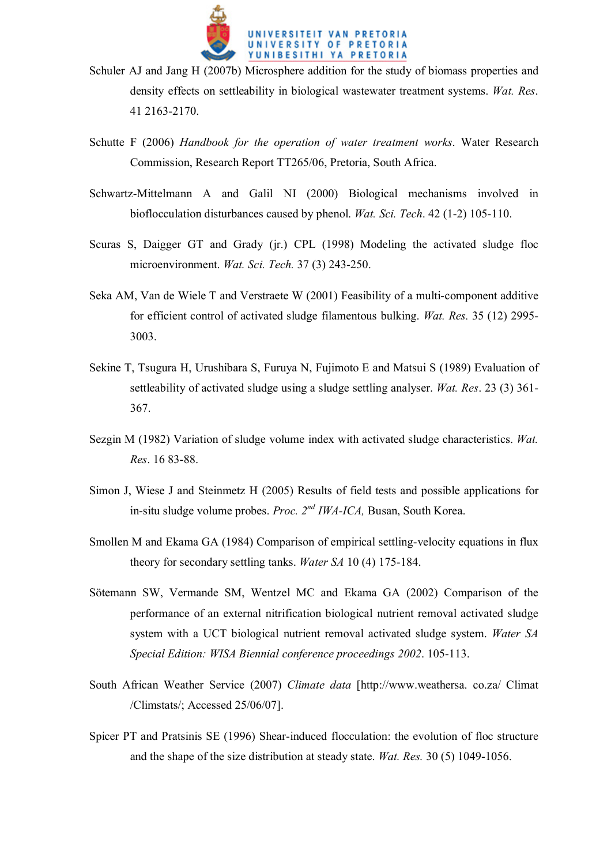

- Schuler AJ and Jang H (2007b) Microsphere addition for the study of biomass properties and density effects on settleability in biological wastewater treatment systems. *Wat. Res*. 41 2163-2170.
- Schutte F (2006) *Handbook for the operation of water treatment works*. Water Research Commission, Research Report TT265/06, Pretoria, South Africa.
- Schwartz-Mittelmann A and Galil NI (2000) Biological mechanisms involved in bioflocculation disturbances caused by phenol. *Wat. Sci. Tech*. 42 (1-2) 105-110.
- Scuras S, Daigger GT and Grady (jr.) CPL (1998) Modeling the activated sludge floc microenvironment. *Wat. Sci. Tech.* 37 (3) 243-250.
- Seka AM, Van de Wiele T and Verstraete W (2001) Feasibility of a multi-component additive for efficient control of activated sludge filamentous bulking. *Wat. Res.* 35 (12) 2995- 3003.
- Sekine T, Tsugura H, Urushibara S, Furuya N, Fujimoto E and Matsui S (1989) Evaluation of settleability of activated sludge using a sludge settling analyser. *Wat. Res*. 23 (3) 361- 367.
- Sezgin M (1982) Variation of sludge volume index with activated sludge characteristics. *Wat. Res*. 16 83-88.
- Simon J, Wiese J and Steinmetz H (2005) Results of field tests and possible applications for in-situ sludge volume probes. *Proc. 2nd IWA-ICA,* Busan, South Korea.
- Smollen M and Ekama GA (1984) Comparison of empirical settling-velocity equations in flux theory for secondary settling tanks. *Water SA* 10 (4) 175-184.
- Sötemann SW, Vermande SM, Wentzel MC and Ekama GA (2002) Comparison of the performance of an external nitrification biological nutrient removal activated sludge system with a UCT biological nutrient removal activated sludge system. *Water SA Special Edition: WISA Biennial conference proceedings 2002*. 105-113.
- South African Weather Service (2007) *Climate data* [http://www.weathersa. co.za/ Climat /Climstats/; Accessed 25/06/07].
- Spicer PT and Pratsinis SE (1996) Shear-induced flocculation: the evolution of floc structure and the shape of the size distribution at steady state. *Wat. Res.* 30 (5) 1049-1056.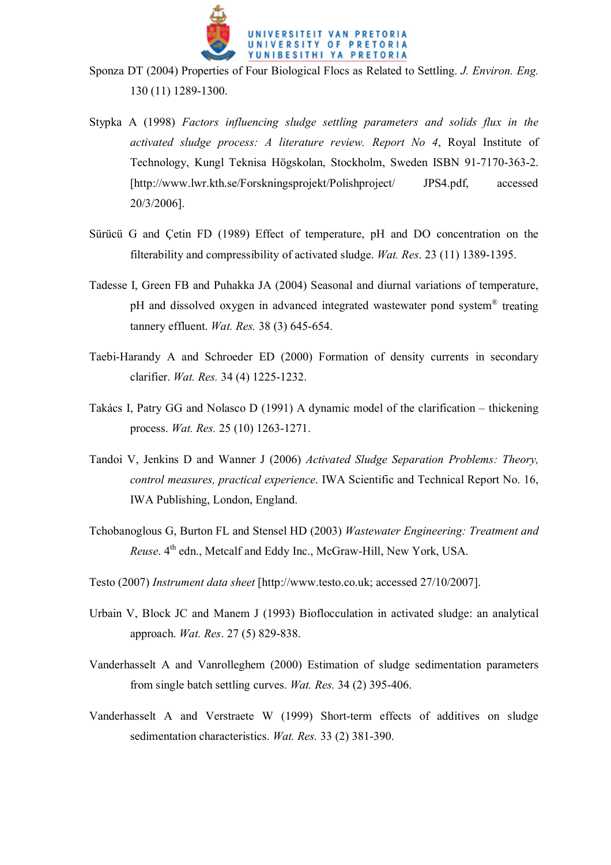

- Sponza DT (2004) Properties of Four Biological Flocs as Related to Settling. *J. Environ. Eng.*  130 (11) 1289-1300.
- Stypka A (1998) *Factors influencing sludge settling parameters and solids flux in the activated sludge process: A literature review. Report No 4*, Royal Institute of Technology, Kungl Teknisa Högskolan, Stockholm, Sweden ISBN 91-7170-363-2. [http://www.lwr.kth.se/Forskningsprojekt/Polishproject/ JPS4.pdf, accessed 20/3/2006].
- Sürücü G and Çetin FD (1989) Effect of temperature, pH and DO concentration on the filterability and compressibility of activated sludge. *Wat. Res*. 23 (11) 1389-1395.
- Tadesse I, Green FB and Puhakka JA (2004) Seasonal and diurnal variations of temperature, pH and dissolved oxygen in advanced integrated wastewater pond system<sup>®</sup> treating tannery effluent. *Wat. Res.* 38 (3) 645-654.
- Taebi-Harandy A and Schroeder ED (2000) Formation of density currents in secondary clarifier. *Wat. Res.* 34 (4) 1225-1232.
- Takács I, Patry GG and Nolasco D (1991) A dynamic model of the clarification thickening process. *Wat. Res.* 25 (10) 1263-1271.
- Tandoi V, Jenkins D and Wanner J (2006) *Activated Sludge Separation Problems: Theory, control measures, practical experience*. IWA Scientific and Technical Report No. 16, IWA Publishing, London, England.
- Tchobanoglous G, Burton FL and Stensel HD (2003) *Wastewater Engineering: Treatment and Reuse*.  $4^{th}$  edn., Metcalf and Eddy Inc., McGraw-Hill, New York, USA.
- Testo (2007) *Instrument data sheet* [http://www.testo.co.uk; accessed 27/10/2007].
- Urbain V, Block JC and Manem J (1993) Bioflocculation in activated sludge: an analytical approach. *Wat. Res*. 27 (5) 829-838.
- Vanderhasselt A and Vanrolleghem (2000) Estimation of sludge sedimentation parameters from single batch settling curves. *Wat. Res.* 34 (2) 395-406.
- Vanderhasselt A and Verstraete W (1999) Short-term effects of additives on sludge sedimentation characteristics. *Wat. Res.* 33 (2) 381-390.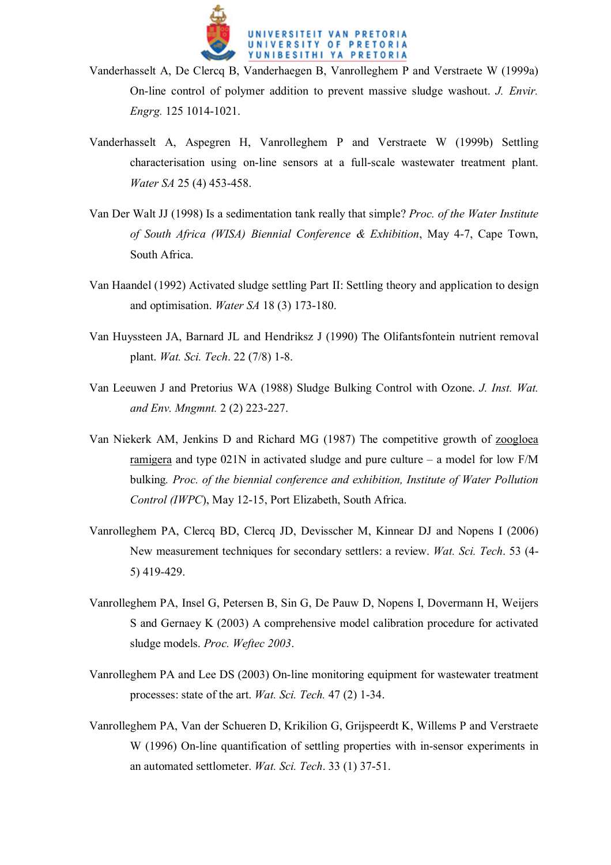

- Vanderhasselt A, De Clercq B, Vanderhaegen B, Vanrolleghem P and Verstraete W (1999a) On-line control of polymer addition to prevent massive sludge washout. *J. Envir. Engrg.* 125 1014-1021.
- Vanderhasselt A, Aspegren H, Vanrolleghem P and Verstraete W (1999b) Settling characterisation using on-line sensors at a full-scale wastewater treatment plant. *Water SA* 25 (4) 453-458.
- Van Der Walt JJ (1998) Is a sedimentation tank really that simple? *Proc. of the Water Institute of South Africa (WISA) Biennial Conference & Exhibition*, May 4-7, Cape Town, South Africa.
- Van Haandel (1992) Activated sludge settling Part II: Settling theory and application to design and optimisation. *Water SA* 18 (3) 173-180.
- Van Huyssteen JA, Barnard JL and Hendriksz J (1990) The Olifantsfontein nutrient removal plant. *Wat. Sci. Tech*. 22 (7/8) 1-8.
- Van Leeuwen J and Pretorius WA (1988) Sludge Bulking Control with Ozone. *J. Inst. Wat. and Env. Mngmnt.* 2 (2) 223-227.
- Van Niekerk AM, Jenkins D and Richard MG (1987) The competitive growth of zoogloea ramigera and type  $021N$  in activated sludge and pure culture – a model for low  $F/M$ bulking*. Proc. of the biennial conference and exhibition, Institute of Water Pollution Control (IWPC*), May 12-15, Port Elizabeth, South Africa.
- Vanrolleghem PA, Clercq BD, Clercq JD, Devisscher M, Kinnear DJ and Nopens I (2006) New measurement techniques for secondary settlers: a review. *Wat. Sci. Tech*. 53 (4- 5) 419-429.
- Vanrolleghem PA, Insel G, Petersen B, Sin G, De Pauw D, Nopens I, Dovermann H, Weijers S and Gernaey K (2003) A comprehensive model calibration procedure for activated sludge models. *Proc. Weftec 2003*.
- Vanrolleghem PA and Lee DS (2003) On-line monitoring equipment for wastewater treatment processes: state of the art. *Wat. Sci. Tech.* 47 (2) 1-34.
- Vanrolleghem PA, Van der Schueren D, Krikilion G, Grijspeerdt K, Willems P and Verstraete W (1996) On-line quantification of settling properties with in-sensor experiments in an automated settlometer. *Wat. Sci. Tech*. 33 (1) 37-51.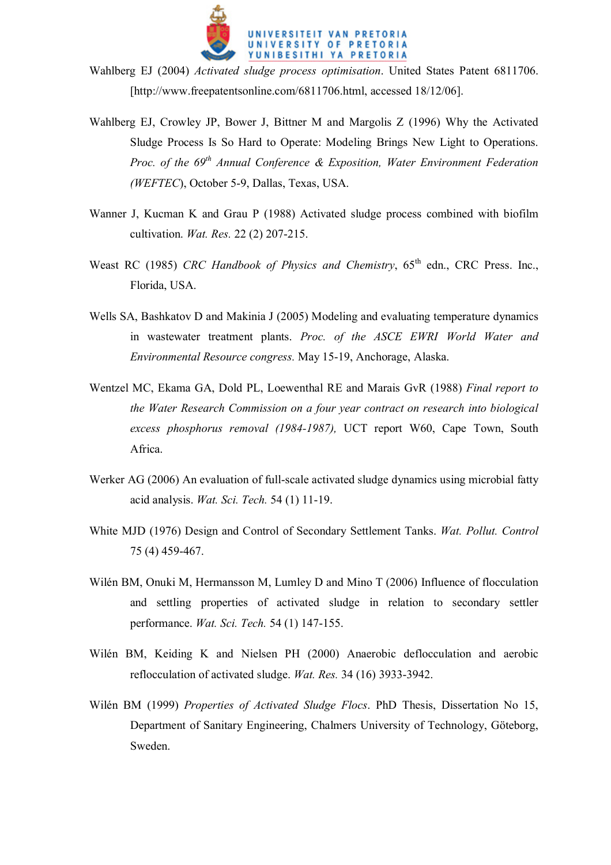

- Wahlberg EJ (2004) *Activated sludge process optimisation*. United States Patent 6811706. [http://www.freepatentsonline.com/6811706.html, accessed 18/12/06].
- Wahlberg EJ, Crowley JP, Bower J, Bittner M and Margolis Z (1996) Why the Activated Sludge Process Is So Hard to Operate: Modeling Brings New Light to Operations. *Proc. of the 69<sup>th</sup> Annual Conference & Exposition, Water Environment Federation (WEFTEC*), October 5-9, Dallas, Texas, USA.
- Wanner J, Kucman K and Grau P (1988) Activated sludge process combined with biofilm cultivation. *Wat. Res.* 22 (2) 207-215.
- Weast RC (1985) *CRC Handbook of Physics and Chemistry*, 65<sup>th</sup> edn., CRC Press. Inc., Florida, USA.
- Wells SA, Bashkatov D and Makinia J (2005) Modeling and evaluating temperature dynamics in wastewater treatment plants. *Proc. of the ASCE EWRI World Water and Environmental Resource congress.* May 15-19, Anchorage, Alaska.
- Wentzel MC, Ekama GA, Dold PL, Loewenthal RE and Marais GvR (1988) *Final report to the Water Research Commission on a four year contract on research into biological excess phosphorus removal (1984-1987),* UCT report W60, Cape Town, South Africa.
- Werker AG (2006) An evaluation of full-scale activated sludge dynamics using microbial fatty acid analysis. *Wat. Sci. Tech.* 54 (1) 11-19.
- White MJD (1976) Design and Control of Secondary Settlement Tanks. *Wat. Pollut. Control* 75 (4) 459-467.
- Wilén BM, Onuki M, Hermansson M, Lumley D and Mino T (2006) Influence of flocculation and settling properties of activated sludge in relation to secondary settler performance. *Wat. Sci. Tech.* 54 (1) 147-155.
- Wilén BM, Keiding K and Nielsen PH (2000) Anaerobic deflocculation and aerobic reflocculation of activated sludge. *Wat. Res.* 34 (16) 3933-3942.
- Wilén BM (1999) *Properties of Activated Sludge Flocs*. PhD Thesis, Dissertation No 15, Department of Sanitary Engineering, Chalmers University of Technology, Göteborg, Sweden.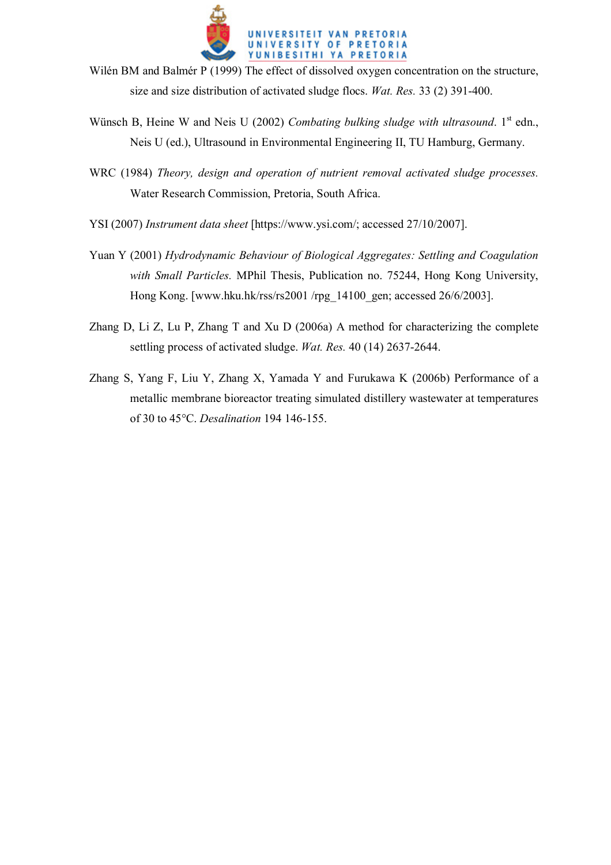

- Wilén BM and Balmér P (1999) The effect of dissolved oxygen concentration on the structure, size and size distribution of activated sludge flocs. *Wat. Res.* 33 (2) 391-400.
- Wünsch B, Heine W and Neis U (2002) *Combating bulking sludge with ultrasound*. 1<sup>st</sup> edn., Neis U (ed.), Ultrasound in Environmental Engineering II, TU Hamburg, Germany.
- WRC (1984) *Theory, design and operation of nutrient removal activated sludge processes.* Water Research Commission, Pretoria, South Africa.
- YSI (2007) *Instrument data sheet* [https://www.ysi.com/; accessed 27/10/2007].
- Yuan Y (2001) *Hydrodynamic Behaviour of Biological Aggregates: Settling and Coagulation with Small Particles.* MPhil Thesis, Publication no. 75244, Hong Kong University, Hong Kong. [www.hku.hk/rss/rs2001 /rpg\_14100\_gen; accessed 26/6/2003].
- Zhang D, Li Z, Lu P, Zhang T and Xu D (2006a) A method for characterizing the complete settling process of activated sludge. *Wat. Res.* 40 (14) 2637-2644.
- Zhang S, Yang F, Liu Y, Zhang X, Yamada Y and Furukawa K (2006b) Performance of a metallic membrane bioreactor treating simulated distillery wastewater at temperatures of 30 to 45°C. *Desalination* 194 146-155.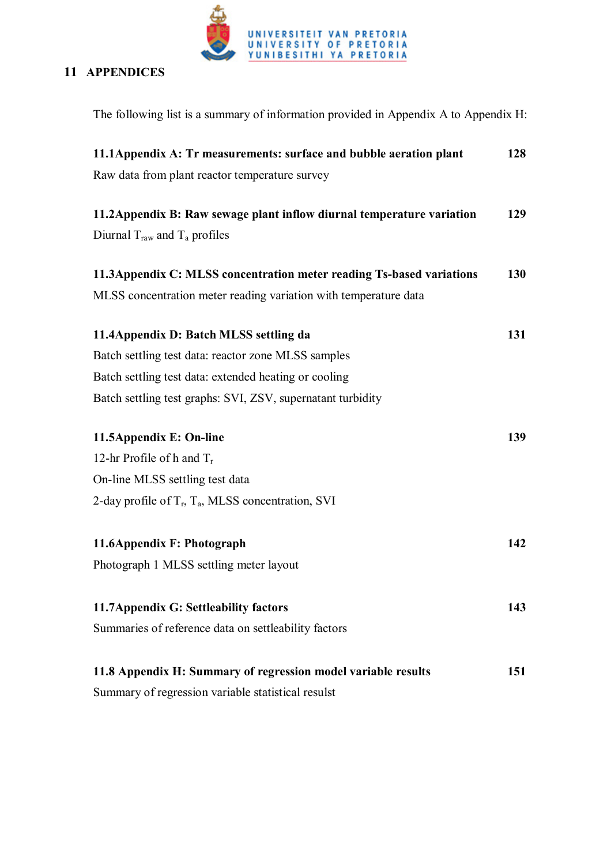

## **11 APPENDICES**

| The following list is a summary of information provided in Appendix A to Appendix H: |            |
|--------------------------------------------------------------------------------------|------------|
| 11.1 Appendix A: Tr measurements: surface and bubble aeration plant                  | 128        |
| Raw data from plant reactor temperature survey                                       |            |
| 11.2 Appendix B: Raw sewage plant inflow diurnal temperature variation               | 129        |
| Diurnal $T_{raw}$ and $T_a$ profiles                                                 |            |
| 11.3 Appendix C: MLSS concentration meter reading Ts-based variations                | <b>130</b> |
| MLSS concentration meter reading variation with temperature data                     |            |
| 11.4 Appendix D: Batch MLSS settling da                                              | 131        |
| Batch settling test data: reactor zone MLSS samples                                  |            |
| Batch settling test data: extended heating or cooling                                |            |
| Batch settling test graphs: SVI, ZSV, supernatant turbidity                          |            |
| 11.5Appendix E: On-line                                                              | 139        |
| 12-hr Profile of h and $T_r$                                                         |            |
| On-line MLSS settling test data                                                      |            |
| 2-day profile of $T_r$ , $T_a$ , MLSS concentration, SVI                             |            |
| 11.6Appendix F: Photograph                                                           | 142        |
| Photograph 1 MLSS settling meter layout                                              |            |
| 11.7 Appendix G: Settleability factors                                               | 143        |
| Summaries of reference data on settleability factors                                 |            |
|                                                                                      |            |
| 11.8 Appendix H: Summary of regression model variable results                        | 151        |
| Summary of regression variable statistical resulst                                   |            |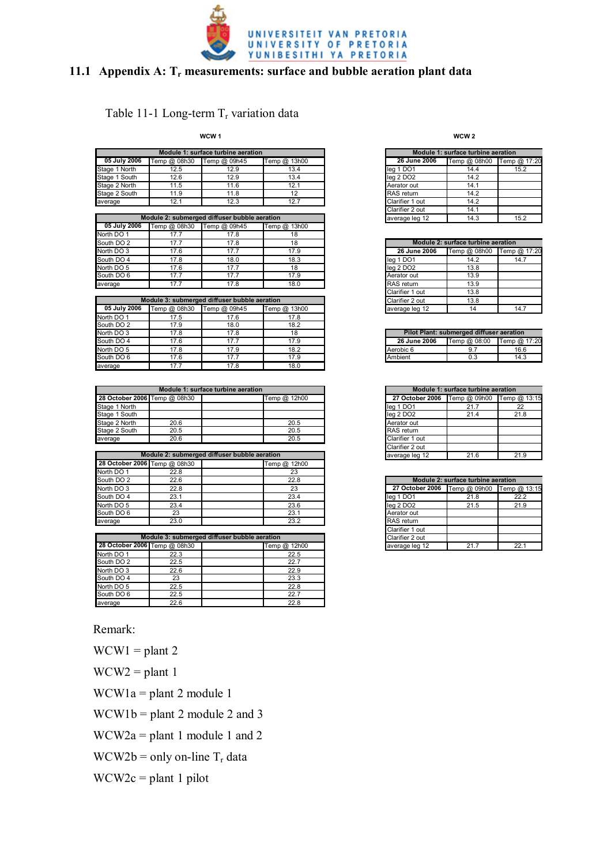

### **11.1 Appendix A: Tr measurements: surface and bubble aeration plant data**

#### Table 11-1 Long-term  $T_r$  variation data

**WCW 1**

|               |              | Module 1: surface turbine aeration |              |
|---------------|--------------|------------------------------------|--------------|
| 05 July 2006  | Temp @ 08h30 | Temp @ 09h45                       | Temp @ 13h00 |
| Stage 1 North | 12.5         | 12.9                               | 13.4         |
| Stage 1 South | 12.6         | 12.9                               | 13.4         |
| Stage 2 North | 11.5         | 11.6                               | 12.1         |
| Stage 2 South | 11.9         | 11.8                               |              |
| average       | 12.1         | 12.3                               | 12.7         |

|              |                                              |              |              |                       | .                                  |              |
|--------------|----------------------------------------------|--------------|--------------|-----------------------|------------------------------------|--------------|
|              | Module 2: submerged diffuser bubble aeration |              |              | average leg 12        | 14.3                               | 15.2         |
| 05 July 2006 | Temp @ 08h30                                 | Temp @ 09h45 | Temp @ 13h00 |                       |                                    |              |
| North DO 1   | 17.7                                         | 17.8         |              |                       |                                    |              |
| South DO 2   | 17.7                                         | 17.8         | 18           |                       | Module 2: surface turbine aeration |              |
| North DO 3   | 17.6                                         | 17.7         | 17.9         | 26 June 2006          | Temp @ 08h00                       | Temp @ 17:20 |
| South DO 4   | 17.8                                         | 18.0         | 18.3         | leg 1 DO1             | 14.2                               | 14.7         |
| North DO 5   | 17.6                                         | 17.7         | 18           | lea 2 DO <sub>2</sub> | 13.8                               |              |
| South DO 6   | 17.7                                         | 17.7         | 17.9         | Aerator out           | 13.9                               |              |
| average      | 17.7                                         | 17.8         | 18.0         | RAS return            | 13.9                               |              |
|              |                                              |              |              |                       |                                    |              |

|              |              | Module 3: submerged diffuser bubble aeration |              | Clarifier 2 out | 13.8                                     |              |
|--------------|--------------|----------------------------------------------|--------------|-----------------|------------------------------------------|--------------|
| 05 July 2006 | Temp @ 08h30 | Temp @ 09h45                                 | Temp @ 13h00 | average leg 12  | 14                                       | 14.7         |
| North DO 1   | 17.5         | 17.6                                         | 17.8         |                 |                                          |              |
| South DO 2   | 17.9         | 18.0                                         | 18.2         |                 |                                          |              |
| North DO 3   | 17.8         | 17.8                                         | 18           |                 | Pilot Plant: submerged diffuser aeration |              |
| South DO 4   | 17.6         | 17.7                                         | 17.9         | 26 June 2006    | Temp @ 08:00                             | Temp @ 17:20 |
| North DO 5   | 17.8         | 17.9                                         | 18.2         | Aerobic 6       |                                          | 16.6         |
| South DO 6   | 17.6         | 17.7                                         | 17.9         | Ambient         | 0.3                                      | 14.3         |
| average      | 17.7         | 17.8                                         | 18.0         |                 |                                          |              |

|               |                              | Module 1: surface turbine aeration |              |                                           | Module 1: surface turbine aeration |      |
|---------------|------------------------------|------------------------------------|--------------|-------------------------------------------|------------------------------------|------|
|               | 28 October 2006 Temp @ 08h30 |                                    | Temp @ 12h00 | 27 October 2006 Temp @ 09h00 Temp @ 13:15 |                                    |      |
| Stage 1 North |                              |                                    |              | leg 1 DO1                                 | 21.7                               |      |
| Stage 1 South |                              |                                    |              | lea 2 DO2                                 | 21.4                               | 21.8 |
| Stage 2 North | 20.6                         |                                    | 20.5         | Aerator out                               |                                    |      |
| Stage 2 South | 20.5                         |                                    | 20.5         | RAS return                                |                                    |      |
| average       | 20.6                         |                                    | 20.5         | Clarifier 1 out                           |                                    |      |

|                              |      | Module 2: submerged diffuser bubble aeration | average leg 12 | 21.6                                      | 21.9 |
|------------------------------|------|----------------------------------------------|----------------|-------------------------------------------|------|
| 28 October 2006 Temp @ 08h30 |      | Temp @ 12h00                                 |                |                                           |      |
| North DO 1                   | 22.8 | 23                                           |                |                                           |      |
| South DO 2                   | 22.6 | 22.8                                         |                | Module 2: surface turbine aeration        |      |
| North DO 3                   | 22.8 | 23                                           |                | 27 October 2006 Temp @ 09h00 Temp @ 13:15 |      |
| South DO 4                   | 23.1 | 23.4                                         | leg 1 DO1      | 21.8                                      | 22.2 |
| North DO 5                   | 23.4 | 23.6                                         | lea 2 DO2      | 21.5                                      | 21.9 |
| South DO 6                   | 23   | 23.1                                         | Aerator out    |                                           |      |
| average                      | 23.0 | 23.2                                         | RAS return     |                                           |      |

|            | Module 3: submerged diffuser bubble aeration |              | Clarifier 2 out |  |
|------------|----------------------------------------------|--------------|-----------------|--|
|            | 28 October 2006 Temp @ 08h30                 | Temp @ 12h00 | average leg 12  |  |
| North DO 1 | 22.3                                         | 22.5         |                 |  |
| South DO 2 | 22.5                                         | 22.7         |                 |  |
| North DO 3 | 22.6                                         | 22.9         |                 |  |
| South DO 4 | 23                                           | 23.3         |                 |  |
| North DO 5 | 22.5                                         | 22.8         |                 |  |
| South DO 6 | 22.5                                         | 22.7         |                 |  |
| average    | 22.6                                         | 22.8         |                 |  |

Remark:

 $WCW1 = plant 2$ 

 $WCW2 = plant 1$ 

WCW1a = plant 2 module 1

 $WCW1b = plant 2 module 2 and 3$ 

 $WCW2a = plant 1$  module 1 and 2

 $WCW2b = only on-line T<sub>r</sub> data$ 

 $WCW2c = plant 1 pilot$ 

**WCW 2**

| Module 1: surface turbine aeration        |      |      |  |  |  |
|-------------------------------------------|------|------|--|--|--|
| 26 June 2006<br>Temp @ 08h00 Temp @ 17:20 |      |      |  |  |  |
| leg 1 DO1                                 | 14.4 | 15.2 |  |  |  |
| leg 2 DO2                                 | 14.2 |      |  |  |  |
| Aerator out                               | 14.1 |      |  |  |  |
| RAS return                                | 14.2 |      |  |  |  |
| Clarifier 1 out                           | 14.2 |      |  |  |  |
| Clarifier 2 out                           | 14.1 |      |  |  |  |
| average leg 12                            | 14.3 | 15.2 |  |  |  |

| Module 2: surface turbine aeration        |      |      |  |  |  |
|-------------------------------------------|------|------|--|--|--|
| 26 June 2006<br>Temp @ 08h00 Temp @ 17:20 |      |      |  |  |  |
| leg 1 DO1                                 | 14.2 | 14.7 |  |  |  |
| leg 2 DO2                                 | 13.8 |      |  |  |  |
| Aerator out                               | 13.9 |      |  |  |  |
| RAS return                                | 13.9 |      |  |  |  |
| Clarifier 1 out                           | 13.8 |      |  |  |  |
| Clarifier 2 out                           | 13.8 |      |  |  |  |
| average leg 12                            | 14   | 147  |  |  |  |

| Pilot Plant: submerged diffuser aeration |                           |      |  |  |  |
|------------------------------------------|---------------------------|------|--|--|--|
| 26 June 2006                             | Temp @ 08:00 Temp @ 17:20 |      |  |  |  |
| Aerobic 6                                | 97                        | 16.6 |  |  |  |
| Ambient                                  | 0.3                       | 14.3 |  |  |  |

| Module 1: surface turbine aeration |                                           |      |  |  |  |
|------------------------------------|-------------------------------------------|------|--|--|--|
|                                    | 27 October 2006 Temp @ 09h00 Temp @ 13:15 |      |  |  |  |
| leg 1 DO1                          | 21.7                                      | 22   |  |  |  |
| leg 2 DO2                          | 21.4                                      | 21.8 |  |  |  |
| Aerator out                        |                                           |      |  |  |  |
| RAS return                         |                                           |      |  |  |  |
| Clarifier 1 out                    |                                           |      |  |  |  |
| Clarifier 2 out                    |                                           |      |  |  |  |
| average leg 12                     | 21.6                                      | 21.9 |  |  |  |

| Module 2: surface turbine aeration        |      |      |  |  |  |
|-------------------------------------------|------|------|--|--|--|
| 27 October 2006 Temp @ 09h00 Temp @ 13:15 |      |      |  |  |  |
| leg 1 DO1                                 | 21.8 | 22.2 |  |  |  |
| leg 2 DO2                                 | 21.5 | 21.9 |  |  |  |
| Aerator out                               |      |      |  |  |  |
| RAS return                                |      |      |  |  |  |
| Clarifier 1 out                           |      |      |  |  |  |
| Clarifier 2 out                           |      |      |  |  |  |
| average leg 12                            | 217  | 221  |  |  |  |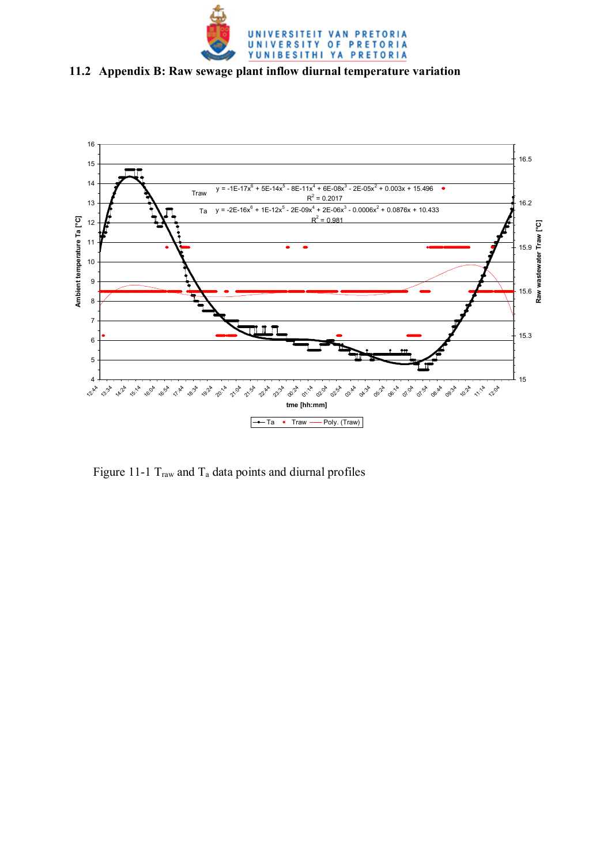

### **11.2 Appendix B: Raw sewage plant inflow diurnal temperature variation**



Figure 11-1  $T_{raw}$  and  $T_a$  data points and diurnal profiles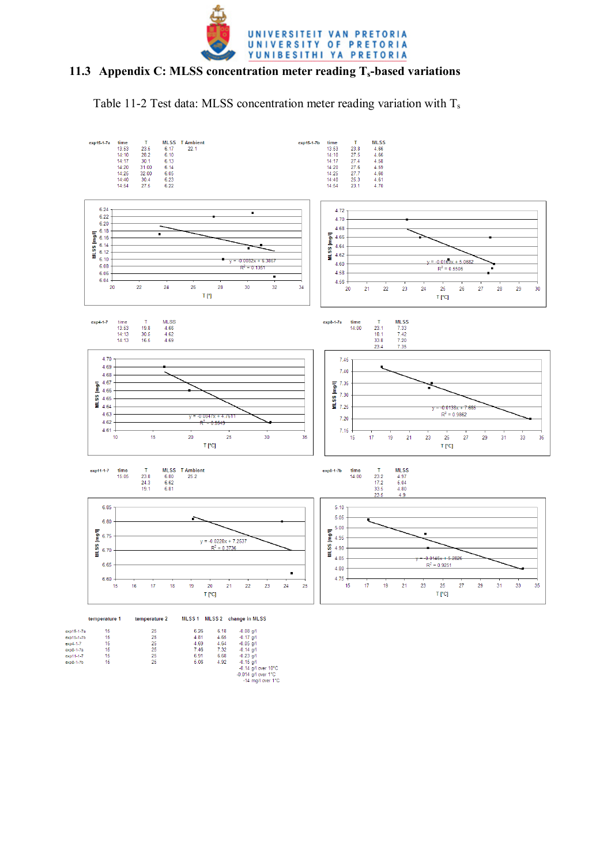

#### **11.3 Appendix C: MLSS concentration meter reading Ts-based variations**

Table 11-2 Test data: MLSS concentration meter reading variation with  $T_s$ 

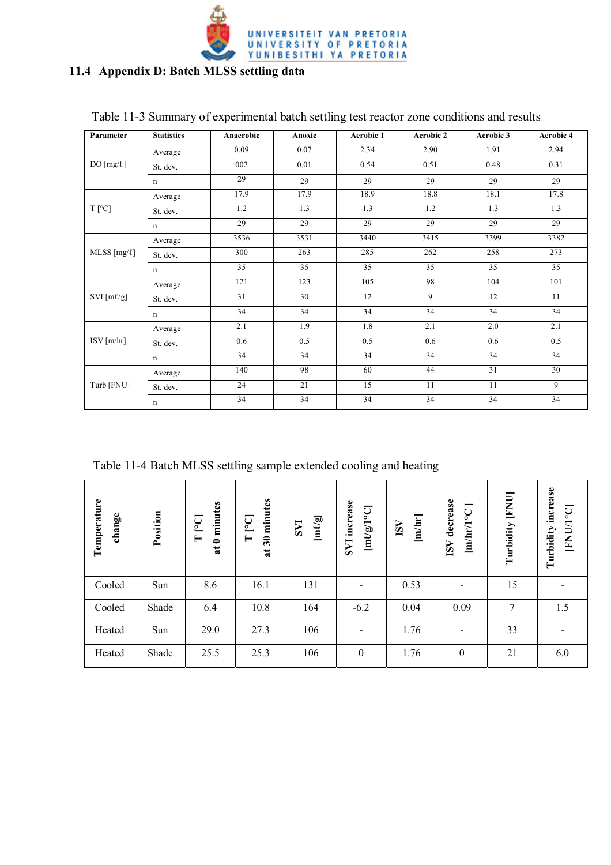

### **11.4 Appendix D: Batch MLSS settling data**

| Parameter        | <b>Statistics</b> | Anaerobic | Anoxic | Aerobic 1 | Aerobic 2 | Aerobic 3 | Aerobic 4 |
|------------------|-------------------|-----------|--------|-----------|-----------|-----------|-----------|
|                  | Average           | 0.09      | 0.07   | 2.34      | 2.90      | 1.91      | 2.94      |
| DO $[mg/\ell]$   | St. dev.          | 002       | 0.01   | 0.54      | 0.51      | 0.48      | 0.31      |
|                  | $\mathbf n$       | 29        | 29     | 29        | 29        | 29        | 29        |
|                  | Average           | 17.9      | 17.9   | 18.9      | 18.8      | 18.1      | 17.8      |
| $T$ [°C]         | St. dev.          | 1.2       | 1.3    | 1.3       | 1.2       | 1.3       | 1.3       |
|                  | $\mathbf n$       | 29        | 29     | 29        | 29        | 29        | 29        |
|                  | Average           | 3536      | 3531   | 3440      | 3415      | 3399      | 3382      |
| MLSS $[mg/\ell]$ | St. dev.          | 300       | 263    | 285       | 262       | 258       | 273       |
|                  | $\mathbf n$       | 35        | 35     | 35        | 35        | 35        | 35        |
|                  | Average           | 121       | 123    | 105       | 98        | 104       | 101       |
| SVI [ml/g]       | St. dev.          | 31        | 30     | 12        | 9         | 12        | 11        |
|                  | $\mathbf n$       | 34        | 34     | 34        | 34        | 34        | 34        |
|                  | Average           | 2.1       | 1.9    | 1.8       | 2.1       | 2.0       | 2.1       |
| $ISV$ [m/hr]     | St. dev.          | 0.6       | 0.5    | 0.5       | 0.6       | 0.6       | 0.5       |
|                  | n                 | 34        | 34     | 34        | 34        | 34        | 34        |
|                  | Average           | 140       | 98     | 60        | 44        | 31        | 30        |
| Turb [FNU]       | St. dev.          | 24        | 21     | 15        | 11        | 11        | 9         |
|                  | $\mathbf n$       | 34        | 34     | 34        | 34        | 34        | 34        |

### Table 11-3 Summary of experimental batch settling test reactor zone conditions and results

Table 11-4 Batch MLSS settling sample extended cooling and heating

| Temperature<br>change | Position | 0 minutes<br>[°]<br>$\vdash$<br>$\overline{\mathbf{a}}$ | minutes<br>P <sub>o</sub><br>$\blacksquare$<br>$30^{\circ}$<br>$\overline{\mathbf{a}}$ | $\left[\mathbf{m}\ell/\mathbf{g}\right]$<br><b>LAS</b> | <b>SVI</b> increase<br>$[m\ell/g/1^{\circ}C]$ | [m/hr]<br>ISV | ISV decrease<br>[mlhr/1°C] | <b>FNU</b><br>Turbidity | Turbidity increase<br><b>FNU/1°C</b> |
|-----------------------|----------|---------------------------------------------------------|----------------------------------------------------------------------------------------|--------------------------------------------------------|-----------------------------------------------|---------------|----------------------------|-------------------------|--------------------------------------|
| Cooled                | Sun      | 8.6                                                     | 16.1                                                                                   | 131                                                    | $\blacksquare$                                | 0.53          |                            | 15                      |                                      |
| Cooled                | Shade    | 6.4                                                     | 10.8                                                                                   | 164                                                    | $-6.2$                                        | 0.04          | 0.09                       | 7                       | 1.5                                  |
| Heated                | Sun      | 29.0                                                    | 27.3                                                                                   | 106                                                    | $\overline{\phantom{0}}$                      | 1.76          |                            | 33                      |                                      |
| Heated                | Shade    | 25.5                                                    | 25.3                                                                                   | 106                                                    | $\theta$                                      | 1.76          | $\mathbf{0}$               | 21                      | 6.0                                  |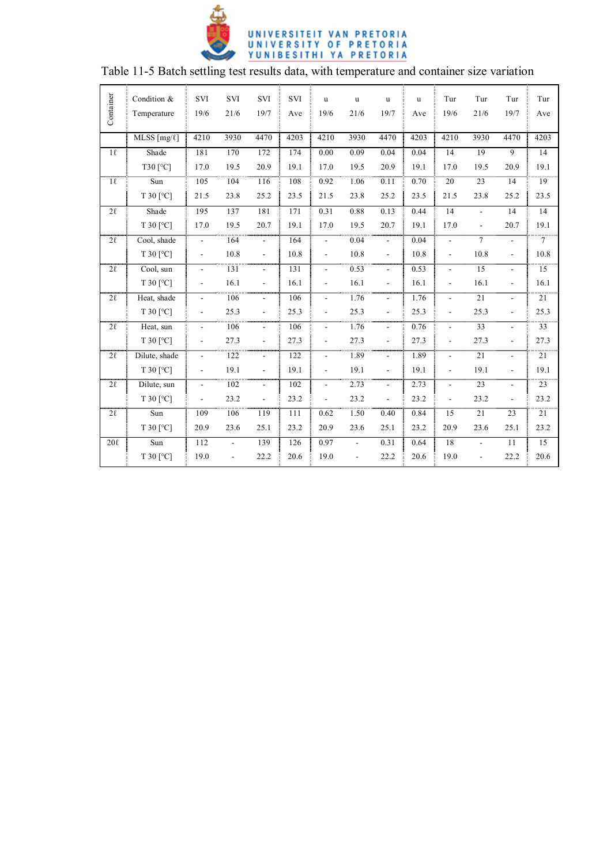

|           | Condition &            | $\ensuremath{\mathrm{SVI}}$ | SVI            | SVI                      | $\ensuremath{\mathrm{SVI}}$ | $\mathbf u$              | $\mathbf u$    | $\mathbf u$              | u    | Tur                      | Tur                      | Tur                      | Tur             |
|-----------|------------------------|-----------------------------|----------------|--------------------------|-----------------------------|--------------------------|----------------|--------------------------|------|--------------------------|--------------------------|--------------------------|-----------------|
| Container | Temperature            | 19/6                        | 21/6           | 19/7                     | Ave                         | 19/6                     | 21/6           | 19/7                     | Ave  | 19/6                     | 21/6                     | 19/7                     | Ave             |
|           | $MLSS$ [mg/ $\ell$ ]   | 4210                        | 3930           | 4470                     | 4203                        | 4210                     | 3930           | 4470                     | 4203 | 4210                     | 3930                     | 4470                     | 4203            |
| $1\ell$   | Shade                  | 181                         | 170            | 172                      | 174                         | 0.00                     | 0.09           | 0.04                     | 0.04 | 14                       | 19                       | 9                        | 14              |
|           | T30 [°C]               | 17.0                        | 19.5           | 20.9                     | 19.1                        | 17.0                     | 19.5           | 20.9                     | 19.1 | 17.0                     | 19.5                     | 20.9                     | 19.1            |
| $1\ell$   | Sun                    | 105                         | 104            | 116                      | 108                         | 0.92                     | 1.06           | 0.11                     | 0.70 | $\overline{20}$          | 23                       | 14                       | 19              |
|           | T 30 [°C]              | 21.5                        | 23.8           | 25.2                     | 23.5                        | 21.5                     | 23.8           | 25.2                     | 23.5 | 21.5                     | 23.8                     | 25.2                     | 23.5            |
| $2\ell$   | Shade                  | 195                         | 137            | 181                      | 171                         | 0.31                     | 0.88           | 0.13                     | 0.44 | 14                       | $\overline{a}$           | 14                       | 14              |
|           | $T$ 30 [ $^{\circ}$ C] | 17.0                        | 19.5           | 20.7                     | 19.1                        | 17.0                     | 19.5           | 20.7                     | 19.1 | 17.0                     | $\overline{\phantom{a}}$ | 20.7                     | 19.1            |
| $2\ell$   | Cool, shade            | $\overline{\phantom{0}}$    | 164            | $\blacksquare$           | 164                         | $\overline{a}$           | 0.04           | $\overline{\phantom{a}}$ | 0.04 | $\overline{\phantom{a}}$ | $\overline{7}$           | $\blacksquare$           | $\tau$          |
|           | T 30 [°C]              | $\overline{\phantom{a}}$    | 10.8           | ÷,                       | 10.8                        | $\frac{1}{2}$            | 10.8           | $\overline{a}$           | 10.8 | ÷,                       | 10.8                     | $\blacksquare$           | 10.8            |
| $2\ell$   | Cool, sun              | $\Box$                      | 131            | $\blacksquare$           | 131                         | ÷.                       | 0.53           | $\overline{\phantom{a}}$ | 0.53 | $\overline{a}$           | 15                       | $\overline{a}$           | $\overline{15}$ |
|           | $T$ 30 [ $^{\circ}$ C] | $\overline{\phantom{a}}$    | 16.1           | ÷,                       | 16.1                        | $\overline{\phantom{a}}$ | 16.1           | $\blacksquare$           | 16.1 | $\overline{\phantom{a}}$ | 16.1                     | $\blacksquare$           | 16.1            |
| $2\ell$   | Heat, shade            | $\overline{\phantom{a}}$    | 106            | $\overline{\phantom{a}}$ | 106                         | $\overline{\phantom{a}}$ | 1.76           | $\overline{\phantom{a}}$ | 1.76 | $\frac{1}{2}$            | $\overline{21}$          | $\overline{\phantom{a}}$ | $\overline{21}$ |
|           | $T$ 30 [ $^{\circ}$ C] | $\blacksquare$              | 25.3           | ÷.                       | 25.3                        | ÷,                       | 25.3           | $\overline{a}$           | 25.3 | ÷,                       | 25.3                     | $\overline{a}$           | 25.3            |
| $2\ell$   | Heat, sun              | $\blacksquare$              | 106            | ÷.                       | 106                         | ÷,                       | 1.76           | $\overline{\phantom{a}}$ | 0.76 | $\overline{a}$           | $\overline{33}$          | $\blacksquare$           | $\overline{33}$ |
|           | T 30 [°C]              | $\blacksquare$              | 27.3           | $\overline{\phantom{a}}$ | 27.3                        | ä,                       | 27.3           | $\overline{\phantom{a}}$ | 27.3 | $\frac{1}{2}$            | 27.3                     | $\blacksquare$           | 27.3            |
| $2\ell$   | Dilute, shade          | $\blacksquare$              | 122            | $\overline{\phantom{a}}$ | 122                         | $\frac{1}{2}$            | 1.89           | $\blacksquare$           | 1.89 | $\overline{a}$           | 21                       | $\overline{\phantom{a}}$ | 21              |
|           | $T$ 30 [ $^{\circ}$ C] | $\blacksquare$              | 19.1           | $\frac{1}{2}$            | 19.1                        | $\frac{1}{2}$            | 19.1           | $\frac{1}{2}$            | 19.1 | $\frac{1}{2}$            | 19.1                     | $\blacksquare$           | 19.1            |
| $2\ell$   | Dilute, sun            | $\blacksquare$              | 102            | $\blacksquare$           | 102                         | $\overline{\phantom{a}}$ | 2.73           | $\overline{\phantom{a}}$ | 2.73 | ÷,                       | 23                       | $\blacksquare$           | 23              |
|           | $T$ 30 [ $^{\circ}$ C] | $\blacksquare$              | 23.2           | $\overline{a}$           | 23.2                        | $\frac{1}{2}$            | 23.2           | $\overline{a}$           | 23.2 | $\overline{a}$           | 23.2                     | $\overline{\phantom{a}}$ | 23.2            |
| $2\ell$   | Sum                    | 109                         | 106            | 119                      | 111                         | 0.62                     | 1.50           | 0.40                     | 0.84 | 15                       | 21                       | 23                       | $\overline{21}$ |
|           | $T$ 30 [ $^{\circ}$ C] | 20.9                        | 23.6           | 25.1                     | 23.2                        | 20.9                     | 23.6           | 25.1                     | 23.2 | 20.9                     | 23.6                     | 25.1                     | 23.2            |
| $20\ell$  | Sun                    | 112                         | $\blacksquare$ | 139                      | 126                         | 0.97                     | $\blacksquare$ | 0.31                     | 0.64 | 18                       | $\overline{\phantom{a}}$ | 11                       | 15              |
|           | T 30 [°C]              | 19.0                        | $\frac{1}{2}$  | 22.2                     | 20.6                        | 19.0                     | $\frac{1}{2}$  | 22.2                     | 20.6 | 19.0                     | $\overline{a}$           | 22.2                     | 20.6            |
|           |                        |                             |                |                          |                             |                          |                |                          |      |                          |                          |                          |                 |

## Table 11-5 Batch settling test results data, with temperature and container size variation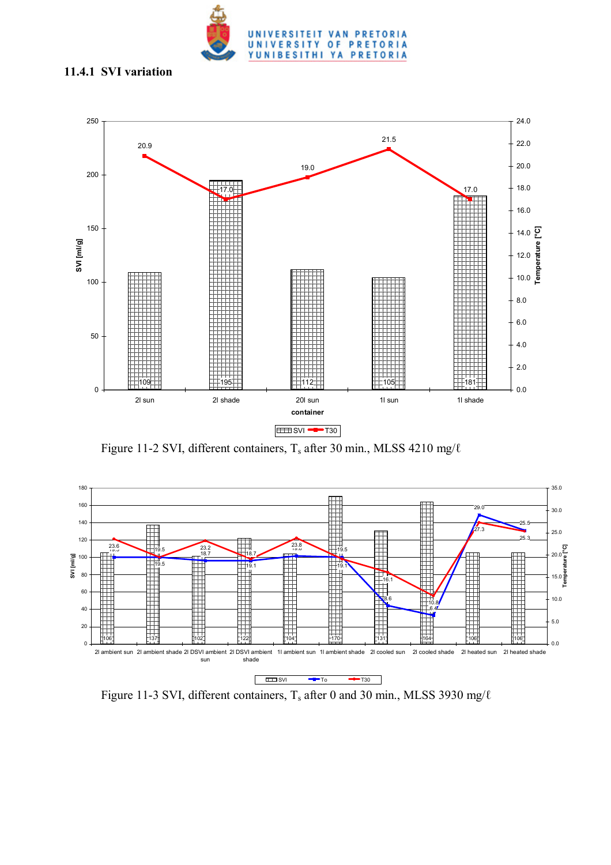

#### **11.4.1 SVI variation**



Figure 11-2 SVI, different containers,  $T_s$  after 30 min., MLSS 4210 mg/ $\ell$ 



Figure 11-3 SVI, different containers,  $T_s$  after 0 and 30 min., MLSS 3930 mg/ $\ell$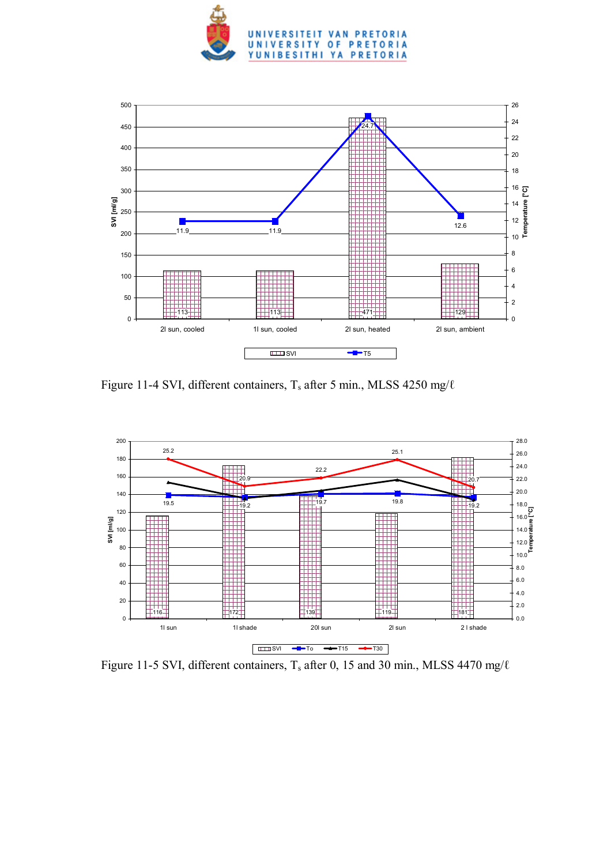



Figure 11-4 SVI, different containers, Ts after 5 min., MLSS 4250 mg/ℓ



Figure 11-5 SVI, different containers,  $T_s$  after 0, 15 and 30 min., MLSS 4470 mg/ $\ell$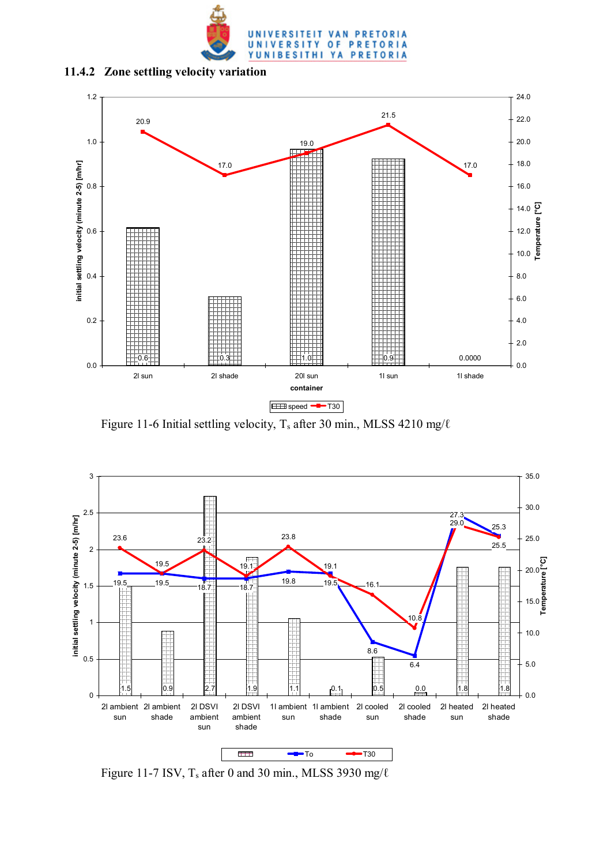

**11.4.2 Zone settling velocity variation** 



Figure 11-6 Initial settling velocity, T<sub>s</sub> after 30 min., MLSS 4210 mg/ $\ell$ 



Figure 11-7 ISV,  $T_s$  after 0 and 30 min., MLSS 3930 mg/ $\ell$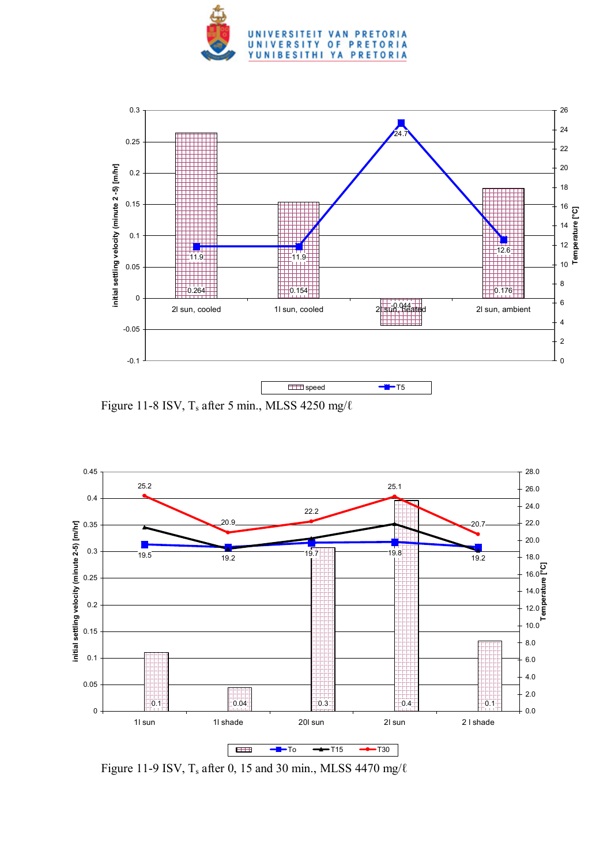



Figure 11-8 ISV,  $T_s$  after 5 min., MLSS 4250 mg/ $\ell$ 



Figure 11-9 ISV,  $T_s$  after 0, 15 and 30 min., MLSS 4470 mg/ $\ell$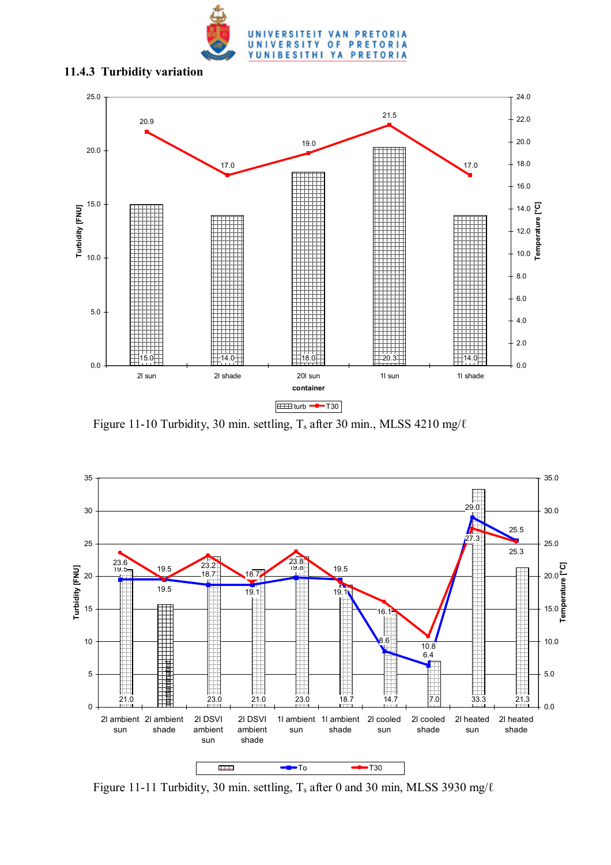

#### **11.4.3 Turbidity variation**



Figure 11-10 Turbidity, 30 min. settling, T<sub>s</sub> after 30 min., MLSS 4210 mg/ $\ell$ 



Figure 11-11 Turbidity, 30 min. settling,  $T_s$  after 0 and 30 min, MLSS 3930 mg/ $\ell$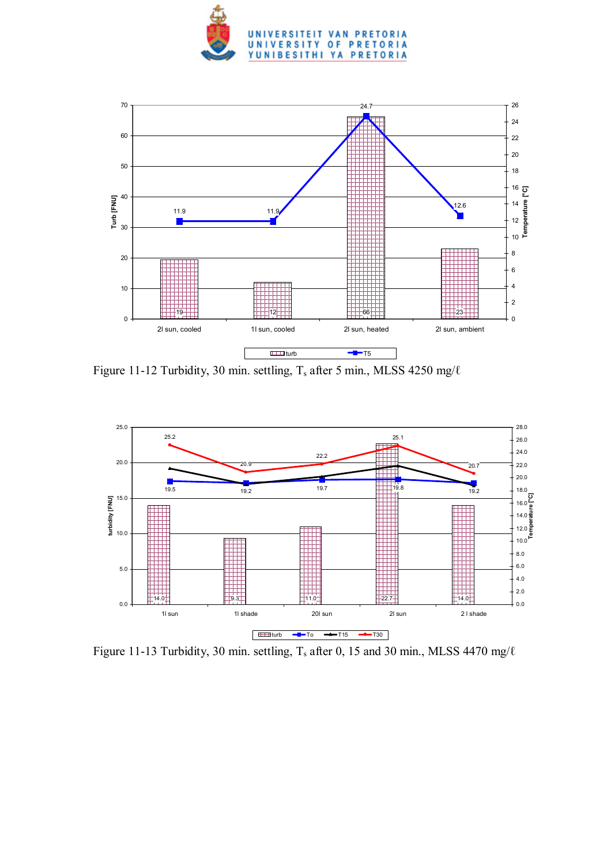



Figure 11-12 Turbidity, 30 min. settling, T<sub>s</sub> after 5 min., MLSS 4250 mg/ℓ



Figure 11-13 Turbidity, 30 min. settling,  $T_s$  after 0, 15 and 30 min., MLSS 4470 mg/ $\ell$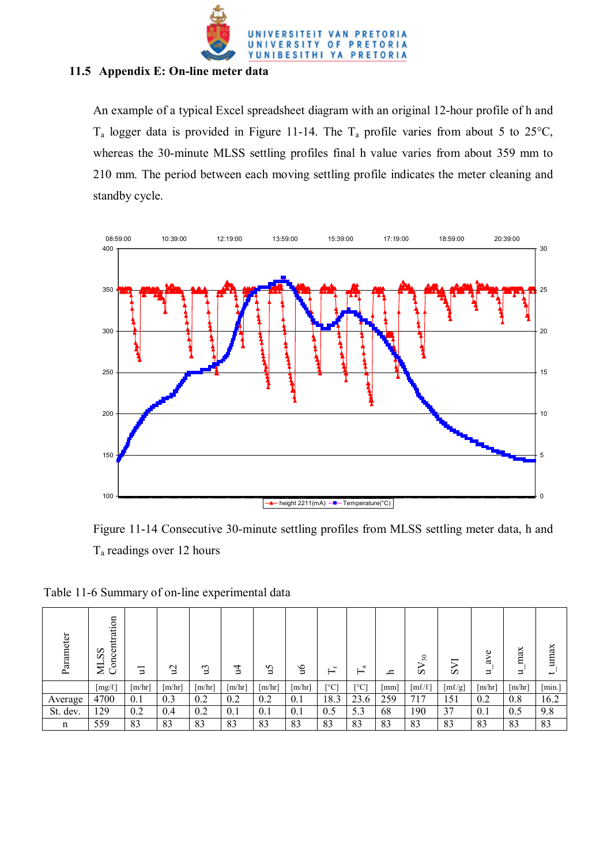

#### **11.5 Appendix E: On-line meter data**

An example of a typical Excel spreadsheet diagram with an original 12-hour profile of h and  $T_a$  logger data is provided in Figure 11-14. The  $T_a$  profile varies from about 5 to 25 $^{\circ}$ C, whereas the 30-minute MLSS settling profiles final h value varies from about 359 mm to 210 mm. The period between each moving settling profile indicates the meter cleaning and standby cycle.



Figure 11-14 Consecutive 30-minute settling profiles from MLSS settling meter data, h and Ta readings over 12 hours

| Parameter | Concentration<br>SS<br>₹ | Ξ                    | $\beta$              | ្អ     | 걸                    | `cu    | 9'n                  | ┶<br>– | ದ<br>–      | ᇰ   | 30<br>ِ        | ↖<br>S      | Φ<br>ă<br>⋍ | max<br>$\Rightarrow$ | umax<br>$\overline{\phantom{0}}$ |
|-----------|--------------------------|----------------------|----------------------|--------|----------------------|--------|----------------------|--------|-------------|-----|----------------|-------------|-------------|----------------------|----------------------------------|
|           | $[mg/\ell]$              | $\lceil m/hr \rceil$ | $\lceil m/hr \rceil$ | [m/hr] | $\lceil m/hr \rceil$ | [m/hr] | $\lceil m/hr \rceil$ | [°C]   | $\lceil$ °C | mm  | $[m\ell/\ell]$ | $[m\ell/g]$ | [m/hr]      | [m/hr]               | [min.]                           |
| Average   | 4700                     | 0.1                  | 0.3                  | 0.2    | 0.2                  | 0.2    | 0.1                  | 18.3   | 23.6        | 259 | 717            | 151         | 0.2         | 0.8                  | 16.2                             |
| St. dev.  | 129                      | 0.2                  | 0.4                  | 0.2    | 0.1                  | 0.1    | 0.1                  | 0.5    | 5.3         | 68  | 190            | 37          | 0.1         | 0.5                  | 9.8                              |
| n         | 559                      | 83                   | 83                   | 83     | 83                   | 83     | 83                   | 83     | 83          | 83  | 83             | 83          | 83          | 83                   | 83                               |

Table 11-6 Summary of on-line experimental data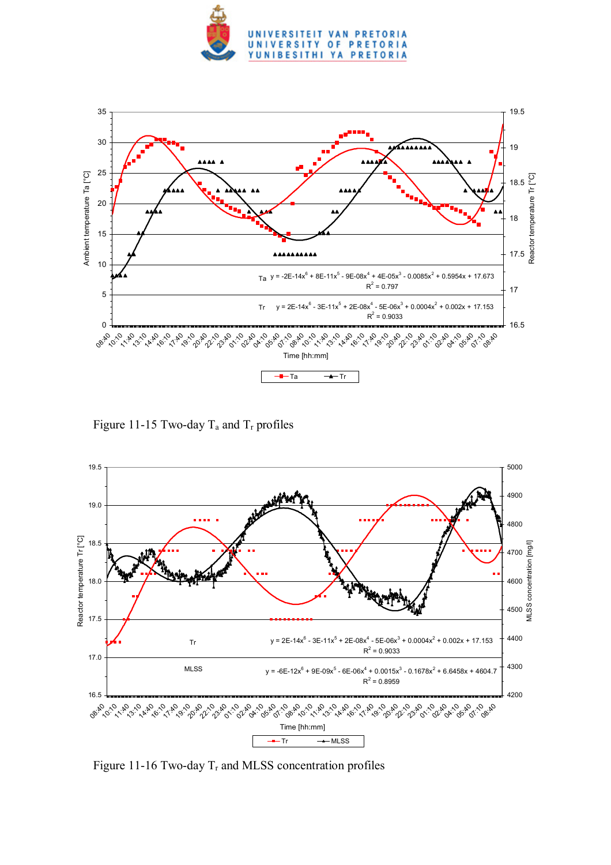



Figure 11-15 Two-day  $T_a$  and  $T_r$  profiles



Figure 11-16 Two-day  $T_r$  and MLSS concentration profiles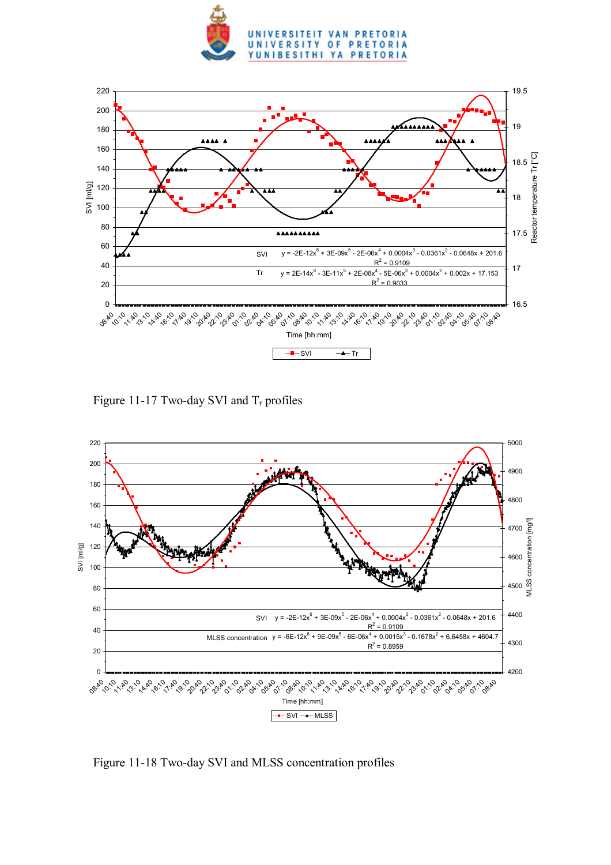



Figure 11-17 Two-day SVI and  $T_r$  profiles



Figure 11-18 Two-day SVI and MLSS concentration profiles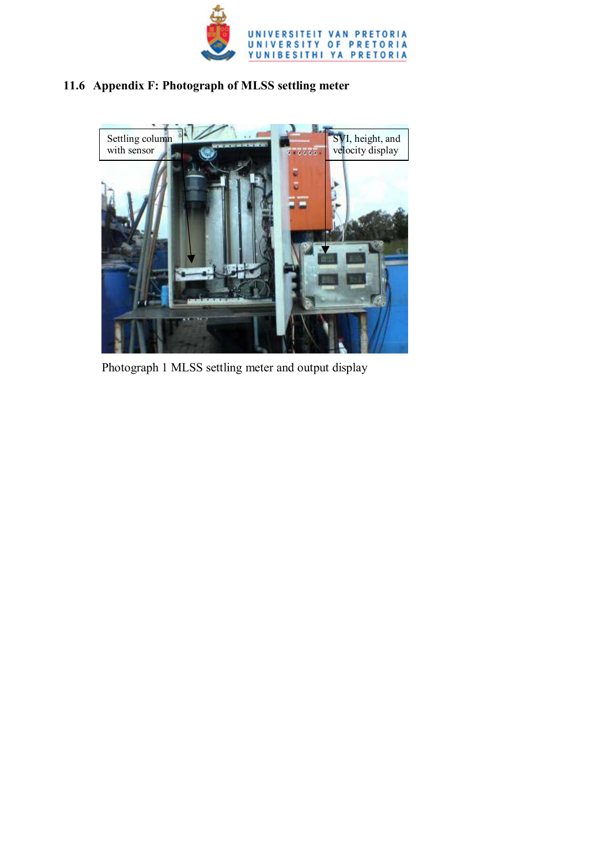

## **11.6 Appendix F: Photograph of MLSS settling meter**



Photograph 1 MLSS settling meter and output display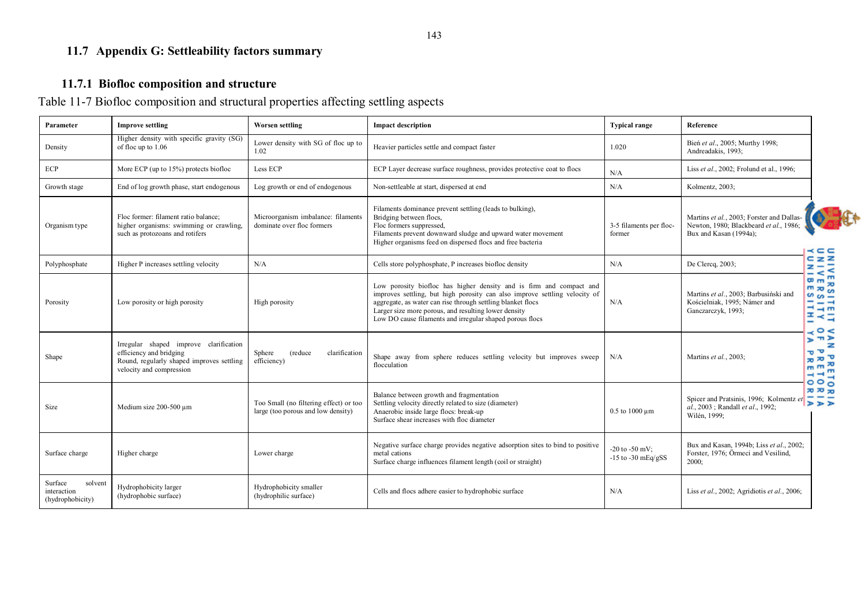## **11.7 Appendix G: Settleability factors summary**

## **11.7.1 Biofloc composition and structure**

Table 11-7 Biofloc composition and structural properties affecting settling aspects

| Parameter                                             | <b>Improve settling</b>                                                                                                                    | Worsen settling                                                              | <b>Impact description</b>                                                                                                                                                                                                                                                                                                            | <b>Typical range</b>                         | Reference                                                                                                     |                                                                                                                                         |
|-------------------------------------------------------|--------------------------------------------------------------------------------------------------------------------------------------------|------------------------------------------------------------------------------|--------------------------------------------------------------------------------------------------------------------------------------------------------------------------------------------------------------------------------------------------------------------------------------------------------------------------------------|----------------------------------------------|---------------------------------------------------------------------------------------------------------------|-----------------------------------------------------------------------------------------------------------------------------------------|
| Density                                               | Higher density with specific gravity (SG)<br>of floc up to 1.06                                                                            | Lower density with SG of floc up to<br>1.02                                  | Heavier particles settle and compact faster                                                                                                                                                                                                                                                                                          | 1.020                                        | Bień et al., 2005; Murthy 1998;<br>Andreadakis, 1993;                                                         |                                                                                                                                         |
| ECP                                                   | More ECP (up to $15\%$ ) protects biofloc                                                                                                  | Less ECP                                                                     | ECP Layer decrease surface roughness, provides protective coat to flocs                                                                                                                                                                                                                                                              | N/A                                          | Liss et al., 2002; Frolund et al., 1996;                                                                      |                                                                                                                                         |
| Growth stage                                          | End of log growth phase, start endogenous                                                                                                  | Log growth or end of endogenous                                              | Non-settleable at start, dispersed at end                                                                                                                                                                                                                                                                                            | N/A                                          | Kolmentz, 2003;                                                                                               |                                                                                                                                         |
| Organism type                                         | Floc former: filament ratio balance;<br>higher organisms: swimming or crawling,<br>such as protozoans and rotifers                         | Microorganism imbalance: filaments<br>dominate over floc formers             | Filaments dominance prevent settling (leads to bulking),<br>Bridging between flocs,<br>Floc formers suppressed,<br>Filaments prevent downward sludge and upward water movement<br>Higher organisms feed on dispersed flocs and free bacteria                                                                                         | 3-5 filaments per floc-<br>former            | Martins et al., 2003; Forster and Dallas-<br>Newton, 1980; Blackbeard et al., 1986;<br>Bux and Kasan (1994a); | $\prec$ $\subset$ $\subset$                                                                                                             |
| Polyphosphate                                         | Higher P increases settling velocity                                                                                                       | N/A                                                                          | Cells store polyphosphate, P increases biofloc density                                                                                                                                                                                                                                                                               | N/A                                          | De Clercq, 2003;                                                                                              | $C_{Z}Z$<br>$z - z$                                                                                                                     |
| Porosity                                              | Low porosity or high porosity                                                                                                              | High porosity                                                                | Low porosity biofloc has higher density and is firm and compact and<br>improves settling, but high porosity can also improve settling velocity of<br>aggregate, as water can rise through settling blanket flocs<br>Larger size more porous, and resulting lower density<br>Low DO cause filaments and irregular shaped porous flocs | N/A                                          | Martins et al., 2003; Barbusiński and<br>Kościelniak, 1995; Námer and<br>Ganczarczyk, 1993;                   | $\epsilon$<br>m<br>$m_{m}$<br>$\overline{m} \times \overline{m}$<br>$\sim \infty$<br>$- - -$<br>$  -$<br>エミー<br>$\prec$ $\circ$ $\prec$ |
| Shape                                                 | Irregular shaped improve clarification<br>efficiency and bridging<br>Round, regularly shaped improves settling<br>velocity and compression | Sphere<br><i>(reduce)</i><br>clarification<br>efficiency)                    | Shape away from sphere reduces settling velocity but improves sweep<br>flocculation                                                                                                                                                                                                                                                  | N/A                                          | Martins et al., 2003;                                                                                         | 5 <sup>m</sup><br>᠊ᠣ᠂<br>$\pi \pi$<br>$m \, m \, \lambda$<br>$-1$                                                                       |
| Size                                                  | Medium size 200-500 µm                                                                                                                     | Too Small (no filtering effect) or too<br>large (too porous and low density) | Balance between growth and fragmentation<br>Settling velocity directly related to size (diameter)<br>Anaerobic inside large flocs: break-up<br>Surface shear increases with floc diameter                                                                                                                                            | $0.5$ to $1000 \mu m$                        | Spicer and Pratsinis, 1996; Kolmentz et<br>al., 2003; Randall et al., 1992;<br>Wilén, 1999;                   | 000<br><b>70 70 70</b><br>555                                                                                                           |
| Surface charge                                        | Higher charge                                                                                                                              | Lower charge                                                                 | Negative surface charge provides negative adsorption sites to bind to positive<br>metal cations<br>Surface charge influences filament length (coil or straight)                                                                                                                                                                      | $-20$ to $-50$ mV:<br>$-15$ to $-30$ mEq/gSS | Bux and Kasan, 1994b; Liss et al., 2002;<br>Forster, 1976; Örmeci and Vesilind,<br>$2000$ ;                   |                                                                                                                                         |
| Surface<br>solvent<br>interaction<br>(hydrophobicity) | Hydrophobicity larger<br>(hydrophobic surface)                                                                                             | Hydrophobicity smaller<br>(hydrophilic surface)                              | Cells and flocs adhere easier to hydrophobic surface                                                                                                                                                                                                                                                                                 | N/A                                          | Liss et al., 2002; Agridiotis et al., 2006;                                                                   |                                                                                                                                         |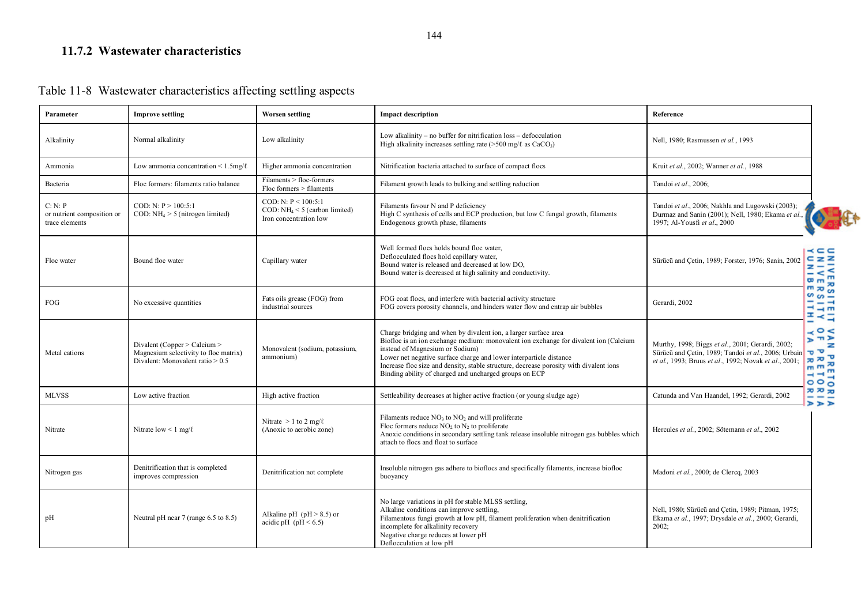#### **11.7.2 Wastewater characteristics**

|  |  | Table 11-8 Wastewater characteristics affecting settling aspects |
|--|--|------------------------------------------------------------------|
|  |  |                                                                  |

| Parameter                                               | <b>Improve settling</b>                                                                                     | <b>Worsen settling</b>                                                            | <b>Impact description</b>                                                                                                                                                                                                                                                                                                                                                                                            | Reference                                                                                                                                                                                                                                                                                 |
|---------------------------------------------------------|-------------------------------------------------------------------------------------------------------------|-----------------------------------------------------------------------------------|----------------------------------------------------------------------------------------------------------------------------------------------------------------------------------------------------------------------------------------------------------------------------------------------------------------------------------------------------------------------------------------------------------------------|-------------------------------------------------------------------------------------------------------------------------------------------------------------------------------------------------------------------------------------------------------------------------------------------|
| Alkalinity                                              | Normal alkalinity                                                                                           | Low alkalinity                                                                    | Low alkalinity – no buffer for nitrification loss – defocculation<br>High alkalinity increases settling rate ( $>500$ mg/ $\ell$ as CaCO <sub>3</sub> )                                                                                                                                                                                                                                                              | Nell, 1980; Rasmussen et al., 1993                                                                                                                                                                                                                                                        |
| Ammonia                                                 | Low ammonia concentration $\leq 1.5$ mg/ $\ell$                                                             | Higher ammonia concentration                                                      | Nitrification bacteria attached to surface of compact flocs                                                                                                                                                                                                                                                                                                                                                          | Kruit et al., 2002; Wanner et al., 1988                                                                                                                                                                                                                                                   |
| Bacteria                                                | Floc formers: filaments ratio balance                                                                       | Filaments > floc-formers<br>$Floc$ formers $>$ filaments                          | Filament growth leads to bulking and settling reduction                                                                                                                                                                                                                                                                                                                                                              | Tandoi et al., 2006;                                                                                                                                                                                                                                                                      |
| C: N: P<br>or nutrient composition or<br>trace elements | COD: N: P > 100:5:1<br>COD: $NH_4 > 5$ (nitrogen limited)                                                   | COD: N: P < 100:5:1<br>COD: $NH_4 < 5$ (carbon limited)<br>Iron concentration low | Filaments favour N and P deficiency<br>High C synthesis of cells and ECP production, but low C fungal growth, filaments<br>Endogenous growth phase, filaments                                                                                                                                                                                                                                                        | Tandoi et al., 2006; Nakhla and Lugowski (2003);<br>Durmaz and Sanin (2001); Nell, 1980; Ekama et al.,<br>1997; Al-Yousfi et al., 2000                                                                                                                                                    |
| Floc water                                              | Bound floc water                                                                                            | Capillary water                                                                   | Well formed flocs holds bound floc water,<br>Deflocculated flocs hold capillary water,<br>Bound water is released and decreased at low DO,<br>Bound water is decreased at high salinity and conductivity.                                                                                                                                                                                                            | - - - -<br>$C_{Z}$ z<br>Sürücü and Cetin, 1989; Forster, 1976; Sanin, 2002<br>$\mathbf{z}$ –<br>$-$ < $<$<br>$m_{m}$                                                                                                                                                                      |
| <b>FOG</b>                                              | No excessive quantities                                                                                     | Fats oils grease (FOG) from<br>industrial sources                                 | FOG coat flocs, and interfere with bacterial activity structure<br>FOG covers porosity channels, and hinders water flow and entrap air bubbles                                                                                                                                                                                                                                                                       | $m \approx m$<br>SITEITY<br>YITIY<br>Gerardi, 2002                                                                                                                                                                                                                                        |
| Metal cations                                           | Divalent (Copper > Calcium ><br>Magnesium selectivity to floc matrix)<br>Divalent: Monovalent ratio $> 0.5$ | Monovalent (sodium, potassium,<br>ammonium)                                       | Charge bridging and when by divalent ion, a larger surface area<br>Biofloc is an ion exchange medium: monovalent ion exchange for divalent ion (Calcium<br>instead of Magnesium or Sodium)<br>Lower net negative surface charge and lower interparticle distance<br>Increase floc size and density, stable structure, decrease porosity with divalent ions<br>Binding ability of charged and uncharged groups on ECP | $\prec$ $\circ$ $\prec$<br>$\pi$<br>ъ<br>Murthy, 1998; Biggs et al., 2001; Gerardi, 2002;<br>$\sigma$ $\sigma$<br>Sürücü and Cetin, 1989; Tandoi et al., 2006; Urbain<br>$\sigma \propto \sigma$<br>et al., 1993; Bruus et al., 1992; Novak et al., 2001;<br>$m m \approx$<br>$-1$<br>000 |
| <b>MLVSS</b>                                            | Low active fraction                                                                                         | High active fraction                                                              | Settleability decreases at higher active fraction (or young sludge age)                                                                                                                                                                                                                                                                                                                                              | ᅍᅍᇷ<br>Catunda and Van Haandel, 1992; Gerardi, 2002<br>- -                                                                                                                                                                                                                                |
| Nitrate                                                 | Nitrate low $\leq 1$ mg/ $\ell$                                                                             | Nitrate $> 1$ to 2 mg/ $\ell$<br>(Anoxic to aerobic zone)                         | Filaments reduce $NO3$ to $NO2$ and will proliferate<br>Floc formers reduce $NO2$ to $N2$ to proliferate<br>Anoxic conditions in secondary settling tank release insoluble nitrogen gas bubbles which<br>attach to flocs and float to surface                                                                                                                                                                        | ত ৰ ৰ<br>Hercules et al., 2002; Sötemann et al., 2002                                                                                                                                                                                                                                     |
| Nitrogen gas                                            | Denitrification that is completed<br>improves compression                                                   | Denitrification not complete                                                      | Insoluble nitrogen gas adhere to bioflocs and specifically filaments, increase biofloc<br>buoyancy                                                                                                                                                                                                                                                                                                                   | Madoni et al., 2000; de Clercq, 2003                                                                                                                                                                                                                                                      |
| pH                                                      | Neutral pH near 7 (range 6.5 to 8.5)                                                                        | Alkaline pH ( $pH > 8.5$ ) or<br>acidic pH (pH $< 6.5$ )                          | No large variations in pH for stable MLSS settling,<br>Alkaline conditions can improve settling,<br>Filamentous fungi growth at low pH, filament proliferation when denitrification<br>incomplete for alkalinity recovery<br>Negative charge reduces at lower pH<br>Deflocculation at low pH                                                                                                                         | Nell, 1980; Sürücü and Çetin, 1989; Pitman, 1975;<br>Ekama et al., 1997; Drysdale et al., 2000; Gerardi,<br>$2002$ ;                                                                                                                                                                      |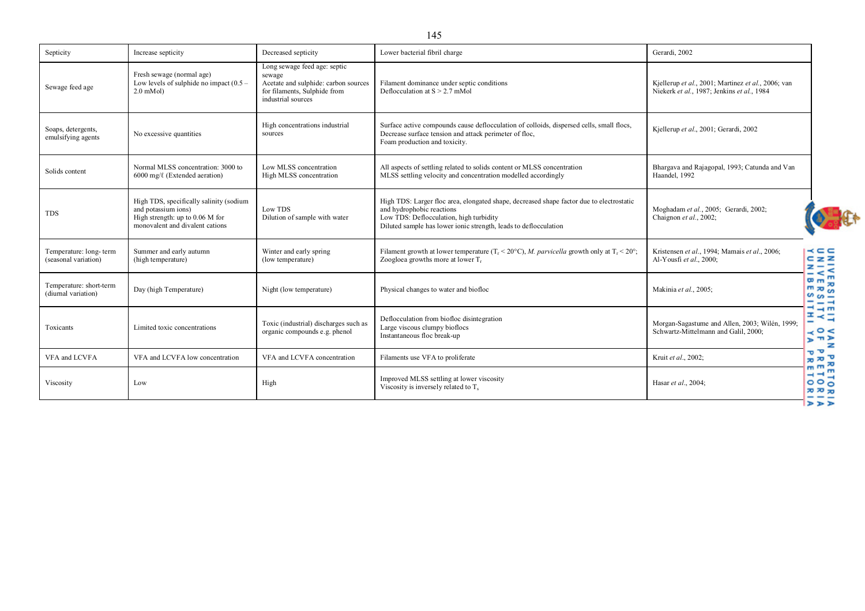| Septicity                                      | Increase septicity                                                                                                                     | Decreased septicity                                                                                                                  | Lower bacterial fibril charge                                                                                                                                                                                                        | Gerardi, 2002                                                                                    |                                                                                                      |
|------------------------------------------------|----------------------------------------------------------------------------------------------------------------------------------------|--------------------------------------------------------------------------------------------------------------------------------------|--------------------------------------------------------------------------------------------------------------------------------------------------------------------------------------------------------------------------------------|--------------------------------------------------------------------------------------------------|------------------------------------------------------------------------------------------------------|
| Sewage feed age                                | Fresh sewage (normal age)<br>Low levels of sulphide no impact $(0.5 -$<br>$2.0$ mMol $)$                                               | Long sewage feed age: septic<br>sewage<br>Acetate and sulphide: carbon sources<br>for filaments, Sulphide from<br>industrial sources | Filament dominance under septic conditions<br>Deflocculation at $S > 2.7$ mMol                                                                                                                                                       | Kjellerup et al., 2001; Martinez et al., 2006; van<br>Niekerk et al., 1987; Jenkins et al., 1984 |                                                                                                      |
| Soaps, detergents,<br>emulsifying agents       | No excessive quantities                                                                                                                | High concentrations industrial<br>sources                                                                                            | Surface active compounds cause deflocculation of colloids, dispersed cells, small flocs,<br>Decrease surface tension and attack perimeter of floc.<br>Foam production and toxicity.                                                  | Kjellerup et al., 2001; Gerardi, 2002                                                            |                                                                                                      |
| Solids content                                 | Normal MLSS concentration: 3000 to<br>$6000 \text{ mg}/\ell$ (Extended aeration)                                                       | Low MLSS concentration<br>High MLSS concentration                                                                                    | All aspects of settling related to solids content or MLSS concentration<br>MLSS settling velocity and concentration modelled accordingly                                                                                             | Bhargava and Rajagopal, 1993; Catunda and Van<br>Haandel, 1992                                   |                                                                                                      |
| <b>TDS</b>                                     | High TDS, specifically salinity (sodium<br>and potassium ions)<br>High strength: up to $0.06$ M for<br>monovalent and divalent cations | Low TDS<br>Dilution of sample with water                                                                                             | High TDS: Larger floc area, elongated shape, decreased shape factor due to electrostatic<br>and hydrophobic reactions<br>Low TDS: Deflocculation, high turbidity<br>Diluted sample has lower ionic strength, leads to deflocculation | Moghadam et al., 2005; Gerardi, 2002;<br>Chaignon et al., 2002;                                  |                                                                                                      |
| Temperature: long-term<br>(seasonal variation) | Summer and early autumn<br>(high temperature)                                                                                          | Winter and early spring<br>(low temperature)                                                                                         | Filament growth at lower temperature $(T_r < 20^{\circ}C)$ , M. parvicella growth only at $T_r < 20^{\circ}$ ;<br>Zoogloea growths more at lower $T_r$                                                                               | Kristensen et al., 1994; Mamais et al., 2006;<br>Al-Yousfi et al., 2000;                         | $\prec$ $\subset$ $\subset$<br>$C \, Z \, Z$<br>EZE                                                  |
| Temperature: short-term<br>(diurnal variation) | Day (high Temperature)                                                                                                                 | Night (low temperature)                                                                                                              | Physical changes to water and biofloc                                                                                                                                                                                                | Makinia et al., 2005;                                                                            | $\mathbf{m}$<br>$m_{\overline{5}}$<br>$m \approx \widetilde{\omega}$<br>$\omega$ $\omega$ $-$<br>--- |
| Toxicants                                      | Limited toxic concentrations                                                                                                           | Toxic (industrial) discharges such as<br>organic compounds e.g. phenol                                                               | Deflocculation from biofloc disintegration<br>Large viscous clumpy bioflocs<br>Instantaneous floc break-up                                                                                                                           | Morgan-Sagastume and Allen, 2003; Wilén, 1999;<br>Schwartz-Mittelmann and Galil, 2000;           | $  -$<br>エネコ<br>$\prec$ $\circ$ $\prec$<br>$2 \pi$                                                   |
| VFA and LCVFA                                  | VFA and LCVFA low concentration                                                                                                        | VFA and LCVFA concentration                                                                                                          | Filaments use VFA to proliferate                                                                                                                                                                                                     | Kruit et al., 2002;                                                                              | $\sigma$ $\sigma'$<br>$\pi \pi$<br>$m m \approx$                                                     |
| Viscosity                                      | Low                                                                                                                                    | High                                                                                                                                 | Improved MLSS settling at lower viscosity<br>Viscosity is inversely related to $T_s$                                                                                                                                                 | Hasar et al., 2004;                                                                              | $- - m$<br>000<br><b>70 70 70</b><br>$>$ $>$                                                         |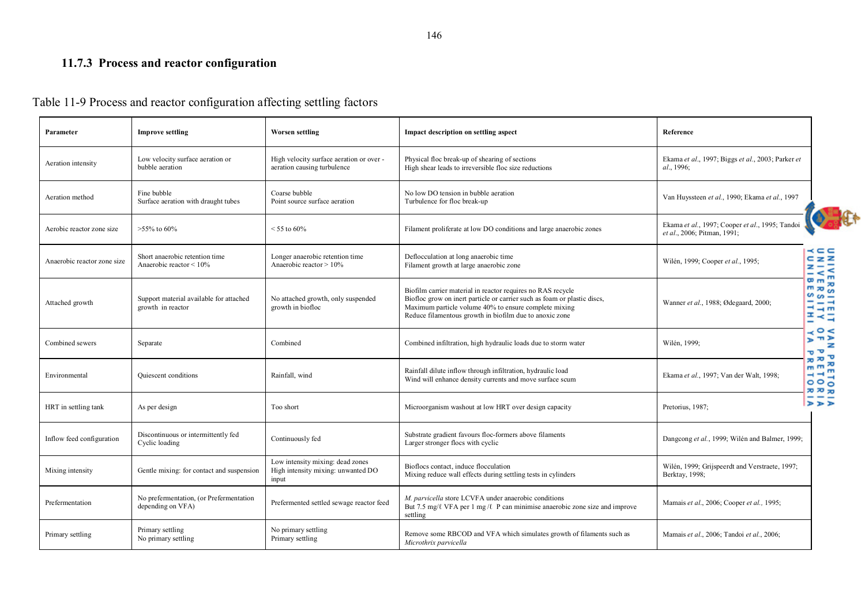# **11.7.3 Process and reactor configuration**

| Parameter                   | <b>Improve settling</b>                                      | <b>Worsen settling</b>                                                          | Impact description on settling aspect                                                                                                                                                                                                                       | Reference                                                                      |                                                                |
|-----------------------------|--------------------------------------------------------------|---------------------------------------------------------------------------------|-------------------------------------------------------------------------------------------------------------------------------------------------------------------------------------------------------------------------------------------------------------|--------------------------------------------------------------------------------|----------------------------------------------------------------|
| Aeration intensity          | Low velocity surface aeration or<br>bubble aeration          | High velocity surface aeration or over -<br>aeration causing turbulence         | Physical floc break-up of shearing of sections<br>High shear leads to irreversible floc size reductions                                                                                                                                                     | Ekama et al., 1997; Biggs et al., 2003; Parker et<br>al., 1996;                |                                                                |
| Aeration method             | Fine bubble<br>Surface aeration with draught tubes           | Coarse bubble<br>Point source surface aeration                                  | No low DO tension in bubble aeration<br>Turbulence for floc break-up                                                                                                                                                                                        | Van Huyssteen et al., 1990; Ekama et al., 1997                                 |                                                                |
| Aerobic reactor zone size   | $>55\%$ to 60%                                               | $< 55$ to 60%                                                                   | Filament proliferate at low DO conditions and large anaerobic zones                                                                                                                                                                                         | Ekama et al., 1997; Cooper et al., 1995; Tandoi<br>et al., 2006; Pitman, 1991; |                                                                |
| Anaerobic reactor zone size | Short anaerobic retention time<br>Anaerobic reactor < 10%    | Longer anaerobic retention time<br>Anaerobic reactor > 10%                      | Deflocculation at long anaerobic time<br>Filament growth at large anaerobic zone                                                                                                                                                                            | Wilén, 1999; Cooper et al., 1995;                                              | $\prec$ $\subset$ $\subset$<br>$C_zZ$<br><b>IVER</b><br>ITVE   |
| Attached growth             | Support material available for attached<br>growth in reactor | No attached growth, only suspended<br>growth in biofloc                         | Biofilm carrier material in reactor requires no RAS recycle<br>Biofloc grow on inert particle or carrier such as foam or plastic discs,<br>Maximum particle volume 40% to ensure complete mixing<br>Reduce filamentous growth in biofilm due to anoxic zone | Wanner et al., 1988; Ødegaard, 2000;                                           | <b>RSS</b><br>$\omega$ $\omega$ $-$<br>$- - -$<br>$  -$<br>표수적 |
| Combined sewers             | Separate                                                     | Combined                                                                        | Combined infiltration, high hydraulic loads due to storm water                                                                                                                                                                                              | Wilén, 1999;                                                                   | $\prec$ $\circ$ $\prec$<br>$2 \pi$<br>$\sigma$ $\sigma$        |
| Environmental               | Quiescent conditions                                         | Rainfall, wind                                                                  | Rainfall dilute inflow through infiltration, hydraulic load<br>Wind will enhance density currents and move surface scum                                                                                                                                     | Ekama et al., 1997; Van der Walt, 1998;                                        | $\pi \pi$<br>m m<br>국극점<br>000<br>ᅍᅍᇷ                          |
| HRT in settling tank        | As per design                                                | Too short                                                                       | Microorganism washout at low HRT over design capacity                                                                                                                                                                                                       | Pretorius, 1987;                                                               | $>$ $>$ $>$                                                    |
| Inflow feed configuration   | Discontinuous or intermittently fed<br>Cyclic loading        | Continuously fed                                                                | Substrate gradient favours floc-formers above filaments<br>Larger stronger flocs with cyclic                                                                                                                                                                | Dangcong et al., 1999; Wilén and Balmer, 1999;                                 |                                                                |
| Mixing intensity            | Gentle mixing: for contact and suspension                    | Low intensity mixing: dead zones<br>High intensity mixing: unwanted DO<br>input | Bioflocs contact, induce flocculation<br>Mixing reduce wall effects during settling tests in cylinders                                                                                                                                                      | Wilén, 1999; Grijspeerdt and Verstraete, 1997;<br>Berktay, 1998;               |                                                                |
| Prefermentation             | No prefermentation, (or Prefermentation<br>depending on VFA) | Prefermented settled sewage reactor feed                                        | M. parvicella store LCVFA under anaerobic conditions<br>But 7.5 mg/ $\ell$ VFA per 1 mg/ $\ell$ P can minimise anaerobic zone size and improve<br>settling                                                                                                  | Mamais et al., 2006; Cooper et al., 1995;                                      |                                                                |
| Primary settling            | Primary settling<br>No primary settling                      | No primary settling<br>Primary settling                                         | Remove some RBCOD and VFA which simulates growth of filaments such as<br>Microthrix parvicella                                                                                                                                                              | Mamais et al., 2006; Tandoi et al., 2006;                                      |                                                                |

#### Table 11-9 Process and reactor configuration affecting settling factors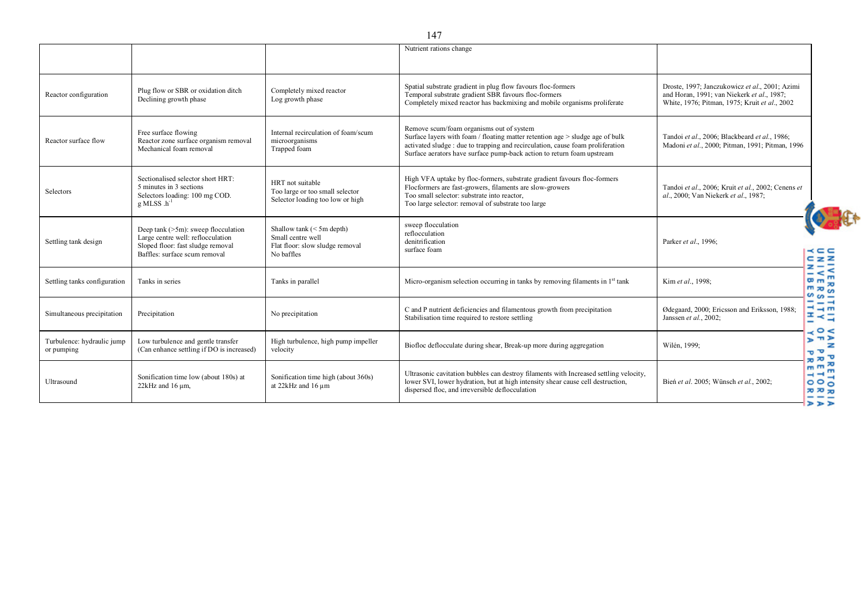|                                          |                                                                                                                                                   |                                                                                                   | Nutrient rations change                                                                                                                                                                                                                                                               |                                                                                                                                               |
|------------------------------------------|---------------------------------------------------------------------------------------------------------------------------------------------------|---------------------------------------------------------------------------------------------------|---------------------------------------------------------------------------------------------------------------------------------------------------------------------------------------------------------------------------------------------------------------------------------------|-----------------------------------------------------------------------------------------------------------------------------------------------|
| Reactor configuration                    | Plug flow or SBR or oxidation ditch<br>Declining growth phase                                                                                     | Completely mixed reactor<br>Log growth phase                                                      | Spatial substrate gradient in plug flow favours floc-formers<br>Temporal substrate gradient SBR favours floc-formers<br>Completely mixed reactor has backmixing and mobile organisms proliferate                                                                                      | Droste, 1997; Janczukowicz et al., 2001; Azimi<br>and Horan, 1991; van Niekerk et al., 1987;<br>White, 1976; Pitman, 1975; Kruit et al., 2002 |
| Reactor surface flow                     | Free surface flowing<br>Reactor zone surface organism removal<br>Mechanical foam removal                                                          | Internal recirculation of foam/scum<br>microorganisms<br>Trapped foam                             | Remove scum/foam organisms out of system<br>Surface layers with foam / floating matter retention age > sludge age of bulk<br>activated sludge : due to trapping and recirculation, cause foam proliferation<br>Surface aerators have surface pump-back action to return foam upstream | Tandoi et al., 2006; Blackbeard et al., 1986;<br>Madoni et al., 2000; Pitman, 1991; Pitman, 1996                                              |
| Selectors                                | Sectionalised selector short HRT:<br>5 minutes in 3 sections<br>Selectors loading: 100 mg COD.<br>$g$ MLSS $.h^{-1}$                              | HRT not suitable<br>Too large or too small selector<br>Selector loading too low or high           | High VFA uptake by floc-formers, substrate gradient favours floc-formers<br>Flocformers are fast-growers, filaments are slow-growers<br>Too small selector: substrate into reactor.<br>Too large selector: removal of substrate too large                                             | Tandoi et al., 2006; Kruit et al., 2002; Cenens et<br>al., 2000; Van Niekerk et al., 1987;                                                    |
| Settling tank design                     | Deep tank $(>5m)$ : sweep flocculation<br>Large centre well: reflocculation<br>Sloped floor: fast sludge removal<br>Baffles: surface scum removal | Shallow tank $(< 5m$ depth)<br>Small centre well<br>Flat floor: slow sludge removal<br>No baffles | sweep flocculation<br>reflocculation<br>denitrification<br>surface foam                                                                                                                                                                                                               | Parker et al., 1996;<br>$\prec$ $\subset$ $\subset$<br>$C \, Z \, Z$                                                                          |
| Settling tanks configuration             | Tanks in series                                                                                                                                   | Tanks in parallel                                                                                 | Micro-organism selection occurring in tanks by removing filaments in $1st$ tank                                                                                                                                                                                                       | $z - z$<br>$-$ < $\leq$<br>$m_{\overline{B}}$<br>Kim et al., 1998;<br>$m \times m$                                                            |
| Simultaneous precipitation               | Precipitation                                                                                                                                     | No precipitation                                                                                  | C and P nutrient deficiencies and filamentous growth from precipitation<br>Stabilisation time required to restore settling                                                                                                                                                            | $\sim \infty$<br>---<br>$-1 \rightarrow m$<br>Ødegaard, 2000; Ericsson and Eriksson, 1988;<br>본운족<br>Janssen et al., 2002;                    |
| Turbulence: hydraulic jump<br>or pumping | Low turbulence and gentle transfer<br>(Can enhance settling if DO is increased)                                                                   | High turbulence, high pump impeller<br>velocity                                                   | Biofloc deflocculate during shear, Break-up more during aggregation                                                                                                                                                                                                                   | $\prec$ $\circ$ $\prec$<br>$2 \pi$<br>Wilén, 1999;<br>$\sigma$ $\sigma'$<br>$70 \times 7$                                                     |
| Ultrasound                               | Sonification time low (about 180s) at<br>$22$ kHz and 16 $\mu$ m,                                                                                 | Sonification time high (about 360s)<br>at 22kHz and 16 µm                                         | Ultrasonic cavitation bubbles can destroy filaments with Increased settling velocity,<br>lower SVI, lower hydration, but at high intensity shear cause cell destruction,<br>dispersed floc, and irreversible deflocculation                                                           | $mm \approx$<br>$- + 2$<br>Bień et al. 2005; Wünsch et al., 2002;<br>000<br><b>202020</b><br>---<br>$>$ $>$ $>$                               |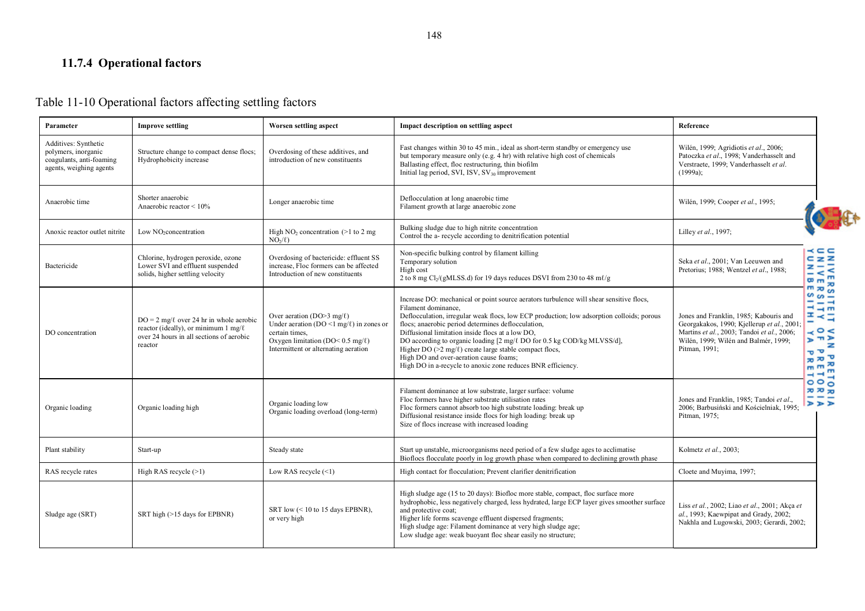# **11.7.4 Operational factors**

#### Table 11-10 Operational factors affecting settling factors

| Parameter                                                                                          | <b>Improve settling</b>                                                                                                                           | Worsen settling aspect                                                                                                                                                                         | <b>Impact description on settling aspect</b>                                                                                                                                                                                                                                                                                                                                                                                                                                                                                                                                           | Reference                                                                                                                                                                                                                                                                                                                                              |
|----------------------------------------------------------------------------------------------------|---------------------------------------------------------------------------------------------------------------------------------------------------|------------------------------------------------------------------------------------------------------------------------------------------------------------------------------------------------|----------------------------------------------------------------------------------------------------------------------------------------------------------------------------------------------------------------------------------------------------------------------------------------------------------------------------------------------------------------------------------------------------------------------------------------------------------------------------------------------------------------------------------------------------------------------------------------|--------------------------------------------------------------------------------------------------------------------------------------------------------------------------------------------------------------------------------------------------------------------------------------------------------------------------------------------------------|
| Additives: Synthetic<br>polymers, inorganic<br>coagulants, anti-foaming<br>agents, weighing agents | Structure change to compact dense flocs;<br>Hydrophobicity increase                                                                               | Overdosing of these additives, and<br>introduction of new constituents                                                                                                                         | Fast changes within 30 to 45 min., ideal as short-term standby or emergency use<br>but temporary measure only (e.g. 4 hr) with relative high cost of chemicals<br>Ballasting effect, floc restructuring, thin biofilm<br>Initial lag period, SVI, ISV, SV <sub>30</sub> improvement                                                                                                                                                                                                                                                                                                    | Wilén, 1999; Agridiotis et al., 2006;<br>Patoczka et al., 1998; Vanderhasselt and<br>Verstraete, 1999; Vanderhasselt et al.<br>$(1999a)$ ;                                                                                                                                                                                                             |
| Anaerobic time                                                                                     | Shorter anaerobic<br>Anaerobic reactor $\leq 10\%$                                                                                                | Longer anaerobic time                                                                                                                                                                          | Deflocculation at long anaerobic time<br>Filament growth at large anaerobic zone                                                                                                                                                                                                                                                                                                                                                                                                                                                                                                       | Wilén, 1999; Cooper et al., 1995;                                                                                                                                                                                                                                                                                                                      |
| Anoxic reactor outlet nitrite                                                                      | Low NO <sub>2</sub> concentration                                                                                                                 | High $NO2$ concentration (>1 to 2 mg<br>NO <sub>2</sub> /l                                                                                                                                     | Bulking sludge due to high nitrite concentration<br>Control the a- recycle according to denitrification potential                                                                                                                                                                                                                                                                                                                                                                                                                                                                      | Lilley et al., 1997;                                                                                                                                                                                                                                                                                                                                   |
| Bactericide                                                                                        | Chlorine, hydrogen peroxide, ozone<br>Lower SVI and effluent suspended<br>solids, higher settling velocity                                        | Overdosing of bactericide: effluent SS<br>increase. Floc formers can be affected<br>Introduction of new constituents                                                                           | Non-specific bulking control by filament killing<br>Temporary solution<br>High cost<br>2 to 8 mg Cl <sub>2</sub> /(gMLSS.d) for 19 days reduces DSVI from 230 to 48 ml/g                                                                                                                                                                                                                                                                                                                                                                                                               | $\prec$ $\subset$ $\subset$<br>$C \, Z \, Z$<br>Seka et al., 2001; Van Leeuwen and<br>ネーコ<br>Pretorius; 1988; Wentzel et al., 1988;<br>$-$ < $\leq$<br>$m_{m}$                                                                                                                                                                                         |
| DO concentration                                                                                   | $DO = 2 mg/\ell$ over 24 hr in whole aerobic<br>reactor (ideally), or minimum 1 mg/ $\ell$<br>over 24 hours in all sections of aerobic<br>reactor | Over aeration (DO>3 mg/ $\ell$ )<br>Under aeration (DO <1 mg/ $\ell$ ) in zones or<br>certain times.<br>Oxygen limitation (DO< $0.5 \text{ mg}/\ell$ )<br>Intermittent or alternating aeration | Increase DO: mechanical or point source aerators turbulence will shear sensitive flocs,<br>Filament dominance.<br>Deflocculation, irregular weak flocs, low ECP production; low adsorption colloids; porous<br>flocs; anaerobic period determines deflocculation,<br>Diffusional limitation inside flocs at a low DO,<br>DO according to organic loading [2 mg/ $\ell$ DO for 0.5 kg COD/kg MLVSS/d],<br>Higher DO ( $\geq 2$ mg/ $\ell$ ) create large stable compact flocs,<br>High DO and over-aeration cause foams;<br>High DO in a-recycle to anoxic zone reduces BNR efficiency. | $m \times m$<br>$\sim \infty$<br>크급류<br>$=$ $\prec$ $=$<br>Jones and Franklin, 1985; Kabouris and<br>٠<br>Georgakakos, 1990; Kjellerup et al., 2001;<br>$\prec$ $\circ$ $\prec$<br>Martins et al., 2003; Tandoi et al., 2006;<br>$2 \pi$<br>Wilén, 1999; Wilén and Balmér, 1999;<br>Pitman, 1991;<br>$\sigma$ $\sigma'$<br>$\pi \pi$<br>m m<br>$- + 7$ |
| Organic loading                                                                                    | Organic loading high                                                                                                                              | Organic loading low<br>Organic loading overload (long-term)                                                                                                                                    | Filament dominance at low substrate, larger surface: volume<br>Floc formers have higher substrate utilisation rates<br>Floc formers cannot absorb too high substrate loading: break up<br>Diffusional resistance inside flocs for high loading: break up<br>Size of flocs increase with increased loading                                                                                                                                                                                                                                                                              | 000<br><b>70 70 70</b><br>Jones and Franklin, 1985; Tandoi et al.,<br>⋗⋗⋗<br>2006; Barbusiński and Kościelniak, 1995;<br>Pitman, 1975;                                                                                                                                                                                                                 |
| Plant stability                                                                                    | Start-up                                                                                                                                          | Steady state                                                                                                                                                                                   | Start up unstable, microorganisms need period of a few sludge ages to acclimatise<br>Bioflocs flocculate poorly in log growth phase when compared to declining growth phase                                                                                                                                                                                                                                                                                                                                                                                                            | Kolmetz et al., 2003;                                                                                                                                                                                                                                                                                                                                  |
| RAS recycle rates                                                                                  | High RAS recycle $(>1)$                                                                                                                           | Low RAS recycle $(\leq 1)$                                                                                                                                                                     | High contact for flocculation; Prevent clarifier denitrification                                                                                                                                                                                                                                                                                                                                                                                                                                                                                                                       | Cloete and Muyima, 1997;                                                                                                                                                                                                                                                                                                                               |
| Sludge age (SRT)                                                                                   | SRT high (>15 days for EPBNR)                                                                                                                     | SRT low $(< 10$ to 15 days EPBNR).<br>or very high                                                                                                                                             | High sludge age (15 to 20 days): Biofloc more stable, compact, floc surface more<br>hydrophobic, less negatively charged, less hydrated, large ECP layer gives smoother surface<br>and protective coat;<br>Higher life forms scavenge effluent dispersed fragments;<br>High sludge age: Filament dominance at very high sludge age;<br>Low sludge age: weak buoyant floc shear easily no structure;                                                                                                                                                                                    | Liss et al., 2002; Liao et al., 2001; Akça et<br>al., 1993; Kaewpipat and Grady, 2002;<br>Nakhla and Lugowski, 2003; Gerardi, 2002;                                                                                                                                                                                                                    |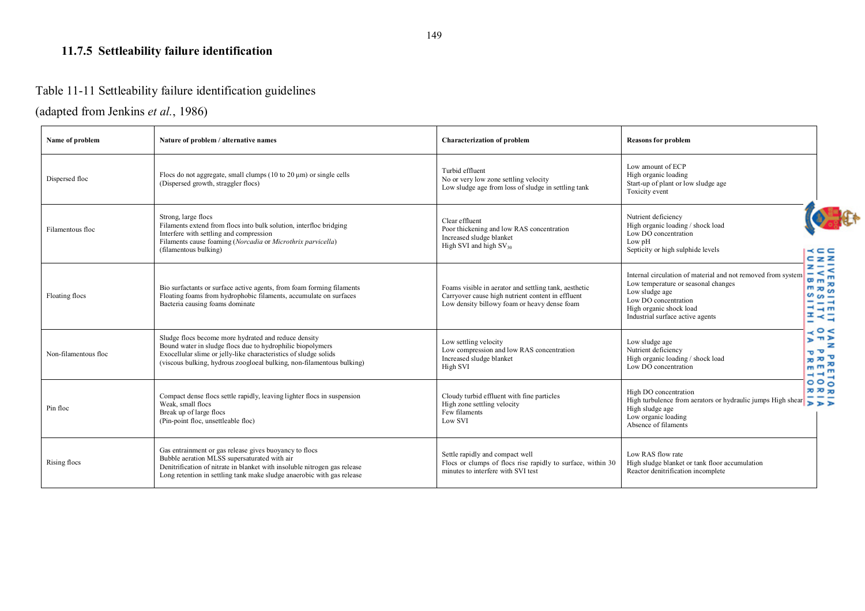## **11.7.5 Settleability failure identification**

# Table 11-11 Settleability failure identification guidelines

## (adapted from Jenkins *et al.*, 1986)

| Name of problem      | Nature of problem / alternative names                                                                                                                                                                                                                           | <b>Characterization of problem</b>                                                                                                                         | <b>Reasons for problem</b>                                                                                                                                                                                              |                                                                             |
|----------------------|-----------------------------------------------------------------------------------------------------------------------------------------------------------------------------------------------------------------------------------------------------------------|------------------------------------------------------------------------------------------------------------------------------------------------------------|-------------------------------------------------------------------------------------------------------------------------------------------------------------------------------------------------------------------------|-----------------------------------------------------------------------------|
| Dispersed floc       | Flocs do not aggregate, small clumps $(10 \text{ to } 20 \text{ µm})$ or single cells<br>(Dispersed growth, straggler flocs)                                                                                                                                    | Turbid effluent<br>No or very low zone settling velocity<br>Low sludge age from loss of sludge in settling tank                                            | Low amount of ECP<br>High organic loading<br>Start-up of plant or low sludge age<br>Toxicity event                                                                                                                      |                                                                             |
| Filamentous floc     | Strong, large flocs<br>Filaments extend from flocs into bulk solution, interfloc bridging<br>Interfere with settling and compression<br>Filaments cause foaming (Norcadia or Microthrix parvicella)<br>(filamentous bulking)                                    | Clear effluent<br>Poor thickening and low RAS concentration<br>Increased sludge blanket<br>High SVI and high $SV_{30}$                                     | Nutrient deficiency<br>High organic loading / shock load<br>Low DO concentration<br>Low pH<br>Septicity or high sulphide levels                                                                                         | - - - -<br>$C_zZ$                                                           |
| Floating flocs       | Bio surfactants or surface active agents, from foam forming filaments<br>Floating foams from hydrophobic filaments, accumulate on surfaces<br>Bacteria causing foams dominate                                                                                   | Foams visible in aerator and settling tank, aesthetic<br>Carryover cause high nutrient content in effluent<br>Low density billowy foam or heavy dense foam | Internal circulation of material and not removed from system<br>$m_{m}$<br>Low temperature or seasonal changes<br>Low sludge age<br>Low DO concentration<br>High organic shock load<br>Industrial surface active agents | EZE<br>$\mathbf{m}$<br>$m \times m$<br>$-\omega$<br>$- - -$<br>$  -$<br>품구축 |
| Non-filamentous floc | Sludge flocs become more hydrated and reduce density<br>Bound water in sludge flocs due to hydrophilic biopolymers<br>Exocellular slime or jelly-like characteristics of sludge solids<br>(viscous bulking, hydrous zoogloeal bulking, non-filamentous bulking) | Low settling velocity<br>Low compression and low RAS concentration<br>Increased sludge blanket<br>High SVI                                                 | Low sludge age<br>Nutrient deficiency<br>$\sigma$ $\sigma'$<br>High organic loading / shock load<br>Low DO concentration<br>m <sub>m</sub>                                                                              | $\circ$ $\le$<br>$D \pi D$<br>$\pi \pi$<br>$-1$                             |
| Pin floc             | Compact dense flocs settle rapidly, leaving lighter flocs in suspension<br>Weak, small flocs<br>Break up of large flocs<br>(Pin-point floc, unsettleable floc)                                                                                                  | Cloudy turbid effluent with fine particles<br>High zone settling velocity<br>Few filaments<br>Low SVI                                                      | High DO concentration<br>High turbulence from aerators or hydraulic jumps High shear $\frac{1}{\sqrt{2}}$<br>High sludge age<br>Low organic loading<br>Absence of filaments                                             | 000<br><b>70 70 70</b>                                                      |
| Rising flocs         | Gas entrainment or gas release gives buoyancy to flocs<br>Bubble aeration MLSS supersaturated with air<br>Denitrification of nitrate in blanket with insoluble nitrogen gas release<br>Long retention in settling tank make sludge anaerobic with gas release   | Settle rapidly and compact well<br>Flocs or clumps of flocs rise rapidly to surface, within 30<br>minutes to interfere with SVI test                       | Low RAS flow rate<br>High sludge blanket or tank floor accumulation<br>Reactor denitrification incomplete                                                                                                               |                                                                             |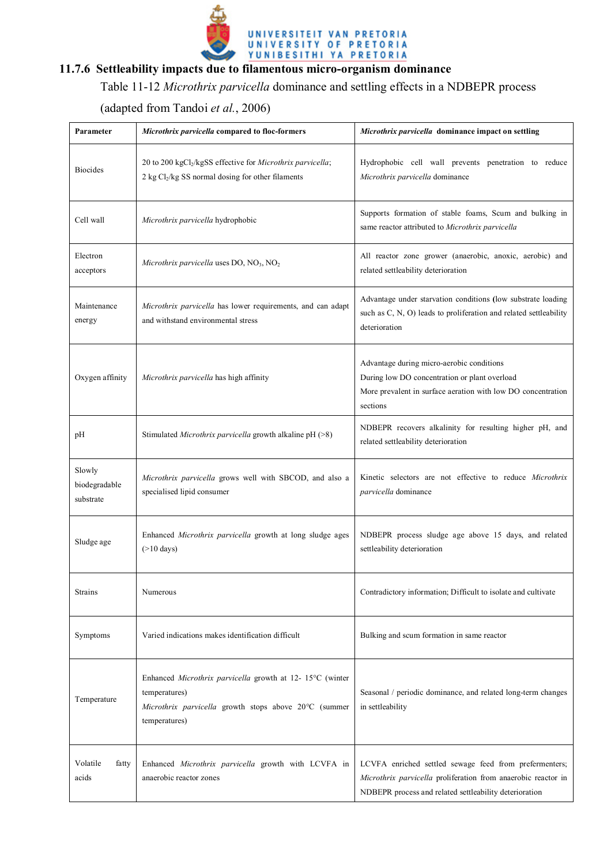

## **11.7.6 Settleability impacts due to filamentous micro-organism dominance**

## Table 11-12 *Microthrix parvicella* dominance and settling effects in a NDBEPR process

(adapted from Tandoi *et al.*, 2006)

| Parameter                            | Microthrix parvicella compared to floc-formers                                                                                                      | Microthrix parvicella dominance impact on settling                                                                                                                                |  |  |  |  |
|--------------------------------------|-----------------------------------------------------------------------------------------------------------------------------------------------------|-----------------------------------------------------------------------------------------------------------------------------------------------------------------------------------|--|--|--|--|
| <b>Biocides</b>                      | 20 to 200 kgCl2/kgSS effective for Microthrix parvicella;<br>2 kg Cl2/kg SS normal dosing for other filaments                                       | Hydrophobic cell wall prevents penetration to reduce<br>Microthrix parvicella dominance                                                                                           |  |  |  |  |
| Cell wall                            | Microthrix parvicella hydrophobic                                                                                                                   | Supports formation of stable foams, Scum and bulking in<br>same reactor attributed to Microthrix parvicella                                                                       |  |  |  |  |
| Electron<br>acceptors                | Microthrix parvicella uses $DO$ , $NO3$ , $NO2$                                                                                                     | All reactor zone grower (anaerobic, anoxic, aerobic) and<br>related settleability deterioration                                                                                   |  |  |  |  |
| Maintenance<br>energy                | Microthrix parvicella has lower requirements, and can adapt<br>and withstand environmental stress                                                   | Advantage under starvation conditions (low substrate loading<br>such as C, N, O) leads to proliferation and related settleability<br>deterioration                                |  |  |  |  |
| Oxygen affinity                      | Microthrix parvicella has high affinity                                                                                                             | Advantage during micro-aerobic conditions<br>During low DO concentration or plant overload<br>More prevalent in surface aeration with low DO concentration<br>sections            |  |  |  |  |
| pН                                   | Stimulated <i>Microthrix parvicella</i> growth alkaline $pH (>8)$                                                                                   | NDBEPR recovers alkalinity for resulting higher pH, and<br>related settleability deterioration                                                                                    |  |  |  |  |
| Slowly<br>biodegradable<br>substrate | Microthrix parvicella grows well with SBCOD, and also a<br>specialised lipid consumer                                                               | Kinetic selectors are not effective to reduce Microthrix<br>parvicella dominance                                                                                                  |  |  |  |  |
| Sludge age                           | Enhanced Microthrix parvicella growth at long sludge ages<br>$($ >10 days)                                                                          | NDBEPR process sludge age above 15 days, and related<br>settleability deterioration                                                                                               |  |  |  |  |
| <b>Strains</b>                       | Numerous                                                                                                                                            | Contradictory information; Difficult to isolate and cultivate                                                                                                                     |  |  |  |  |
| Symptoms                             | Varied indications makes identification difficult                                                                                                   | Bulking and scum formation in same reactor                                                                                                                                        |  |  |  |  |
| Temperature                          | Enhanced Microthrix parvicella growth at 12-15°C (winter<br>temperatures)<br>Microthrix parvicella growth stops above 20°C (summer<br>temperatures) | Seasonal / periodic dominance, and related long-term changes<br>in settleability                                                                                                  |  |  |  |  |
| Volatile<br>fatty<br>acids           | Enhanced Microthrix parvicella growth with LCVFA in<br>anaerobic reactor zones                                                                      | LCVFA enriched settled sewage feed from prefermenters;<br>Microthrix parvicella proliferation from anaerobic reactor in<br>NDBEPR process and related settleability deterioration |  |  |  |  |